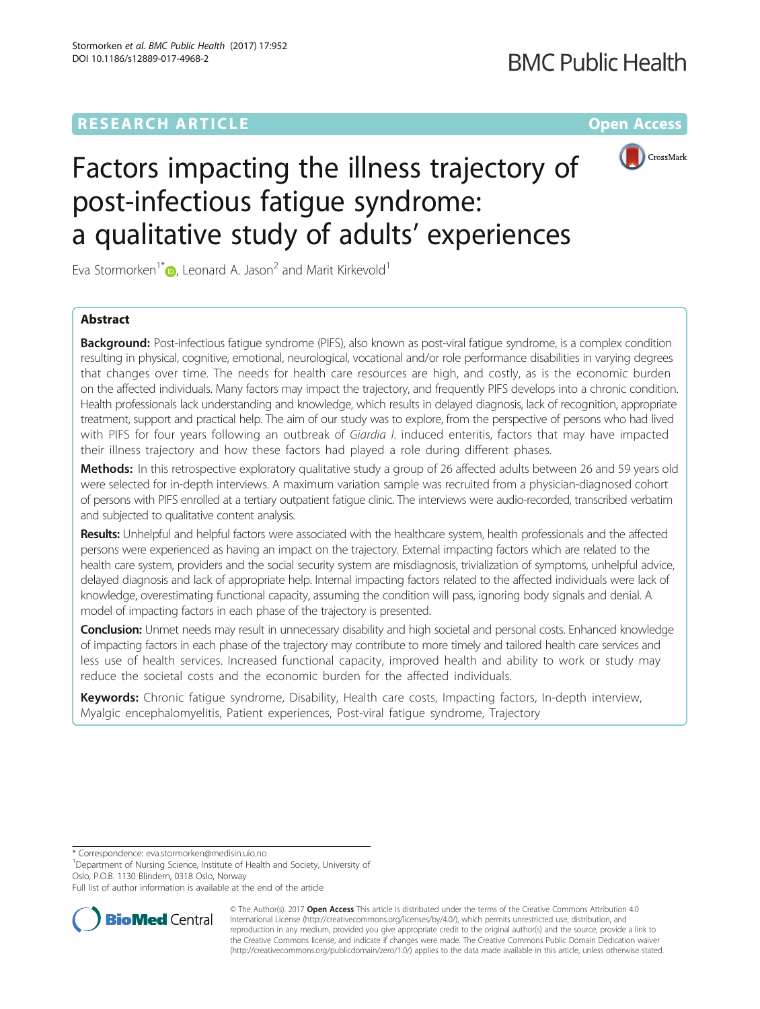# **RESEARCH ARTICLE Example 2014 12:30 The Community Community Community Community Community Community Community**



# Factors impacting the illness trajectory of post-infectious fatigue syndrome: a qualitative study of adults' experiences

Eva Stormorken<sup>1[\\*](http://orcid.org/0000-0001-9847-4893)</sup>  $\bullet$ , Leonard A. Jason<sup>2</sup> and Marit Kirkevold<sup>1</sup>

# Abstract

**Background:** Post-infectious fatigue syndrome (PIFS), also known as post-viral fatigue syndrome, is a complex condition resulting in physical, cognitive, emotional, neurological, vocational and/or role performance disabilities in varying degrees that changes over time. The needs for health care resources are high, and costly, as is the economic burden on the affected individuals. Many factors may impact the trajectory, and frequently PIFS develops into a chronic condition. Health professionals lack understanding and knowledge, which results in delayed diagnosis, lack of recognition, appropriate treatment, support and practical help. The aim of our study was to explore, from the perspective of persons who had lived with PIFS for four years following an outbreak of Giardia I. induced enteritis, factors that may have impacted their illness trajectory and how these factors had played a role during different phases.

Methods: In this retrospective exploratory qualitative study a group of 26 affected adults between 26 and 59 years old were selected for in-depth interviews. A maximum variation sample was recruited from a physician-diagnosed cohort of persons with PIFS enrolled at a tertiary outpatient fatigue clinic. The interviews were audio-recorded, transcribed verbatim and subjected to qualitative content analysis.

Results: Unhelpful and helpful factors were associated with the healthcare system, health professionals and the affected persons were experienced as having an impact on the trajectory. External impacting factors which are related to the health care system, providers and the social security system are misdiagnosis, trivialization of symptoms, unhelpful advice, delayed diagnosis and lack of appropriate help. Internal impacting factors related to the affected individuals were lack of knowledge, overestimating functional capacity, assuming the condition will pass, ignoring body signals and denial. A model of impacting factors in each phase of the trajectory is presented.

Conclusion: Unmet needs may result in unnecessary disability and high societal and personal costs. Enhanced knowledge of impacting factors in each phase of the trajectory may contribute to more timely and tailored health care services and less use of health services. Increased functional capacity, improved health and ability to work or study may reduce the societal costs and the economic burden for the affected individuals.

Keywords: Chronic fatique syndrome, Disability, Health care costs, Impacting factors, In-depth interview, Myalgic encephalomyelitis, Patient experiences, Post-viral fatigue syndrome, Trajectory

\* Correspondence: [eva.stormorken@medisin.uio.no](mailto:eva.stormorken@medisin.uio.no) <sup>1</sup>

<sup>1</sup>Department of Nursing Science, Institute of Health and Society, University of Oslo, P.O.B. 1130 Blindern, 0318 Oslo, Norway

Full list of author information is available at the end of the article



© The Author(s). 2017 **Open Access** This article is distributed under the terms of the Creative Commons Attribution 4.0 International License [\(http://creativecommons.org/licenses/by/4.0/](http://creativecommons.org/licenses/by/4.0/)), which permits unrestricted use, distribution, and reproduction in any medium, provided you give appropriate credit to the original author(s) and the source, provide a link to the Creative Commons license, and indicate if changes were made. The Creative Commons Public Domain Dedication waiver [\(http://creativecommons.org/publicdomain/zero/1.0/](http://creativecommons.org/publicdomain/zero/1.0/)) applies to the data made available in this article, unless otherwise stated.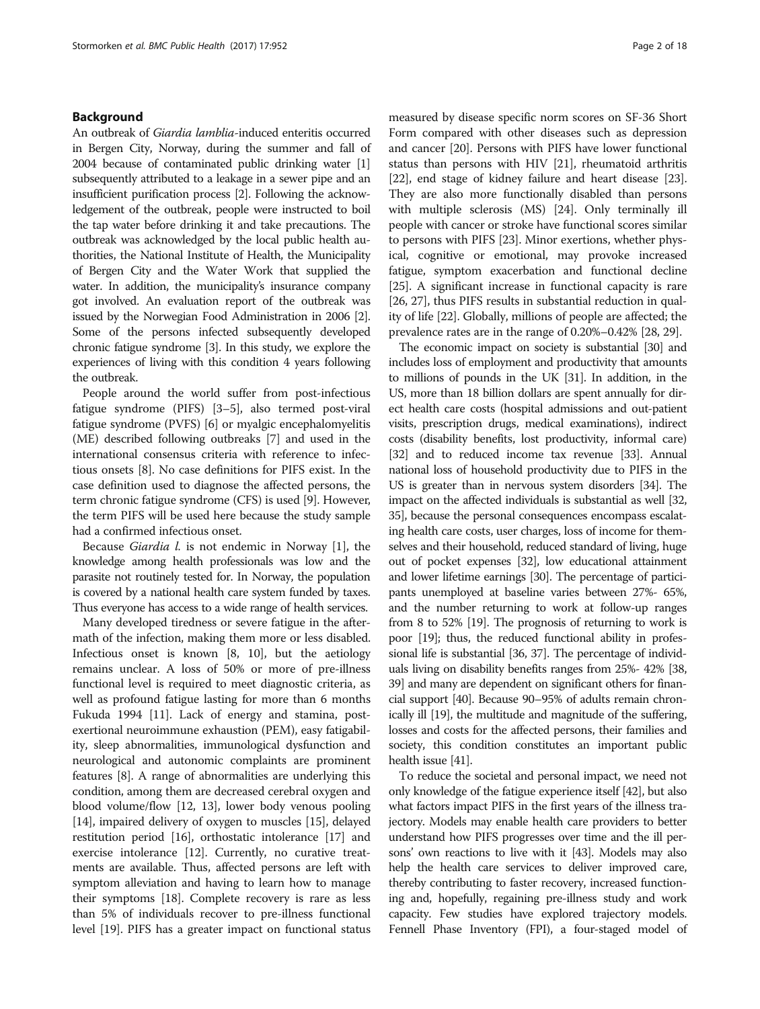# Background

An outbreak of Giardia lamblia-induced enteritis occurred in Bergen City, Norway, during the summer and fall of 2004 because of contaminated public drinking water [[1](#page-15-0)] subsequently attributed to a leakage in a sewer pipe and an insufficient purification process [\[2](#page-15-0)]. Following the acknowledgement of the outbreak, people were instructed to boil the tap water before drinking it and take precautions. The outbreak was acknowledged by the local public health authorities, the National Institute of Health, the Municipality of Bergen City and the Water Work that supplied the water. In addition, the municipality's insurance company got involved. An evaluation report of the outbreak was issued by the Norwegian Food Administration in 2006 [[2](#page-15-0)]. Some of the persons infected subsequently developed chronic fatigue syndrome [[3](#page-15-0)]. In this study, we explore the experiences of living with this condition 4 years following the outbreak.

People around the world suffer from post-infectious fatigue syndrome (PIFS) [[3](#page-15-0)–[5](#page-15-0)], also termed post-viral fatigue syndrome (PVFS) [\[6](#page-15-0)] or myalgic encephalomyelitis (ME) described following outbreaks [[7\]](#page-15-0) and used in the international consensus criteria with reference to infectious onsets [\[8](#page-15-0)]. No case definitions for PIFS exist. In the case definition used to diagnose the affected persons, the term chronic fatigue syndrome (CFS) is used [[9](#page-15-0)]. However, the term PIFS will be used here because the study sample had a confirmed infectious onset.

Because Giardia l. is not endemic in Norway [\[1](#page-15-0)], the knowledge among health professionals was low and the parasite not routinely tested for. In Norway, the population is covered by a national health care system funded by taxes. Thus everyone has access to a wide range of health services.

Many developed tiredness or severe fatigue in the aftermath of the infection, making them more or less disabled. Infectious onset is known [[8](#page-15-0), [10\]](#page-15-0), but the aetiology remains unclear. A loss of 50% or more of pre-illness functional level is required to meet diagnostic criteria, as well as profound fatigue lasting for more than 6 months Fukuda 1994 [\[11\]](#page-15-0). Lack of energy and stamina, postexertional neuroimmune exhaustion (PEM), easy fatigability, sleep abnormalities, immunological dysfunction and neurological and autonomic complaints are prominent features [[8](#page-15-0)]. A range of abnormalities are underlying this condition, among them are decreased cerebral oxygen and blood volume/flow [[12](#page-15-0), [13](#page-15-0)], lower body venous pooling [[14](#page-15-0)], impaired delivery of oxygen to muscles [[15](#page-15-0)], delayed restitution period [\[16\]](#page-15-0), orthostatic intolerance [[17](#page-15-0)] and exercise intolerance [[12](#page-15-0)]. Currently, no curative treatments are available. Thus, affected persons are left with symptom alleviation and having to learn how to manage their symptoms [\[18\]](#page-15-0). Complete recovery is rare as less than 5% of individuals recover to pre-illness functional level [\[19](#page-15-0)]. PIFS has a greater impact on functional status

measured by disease specific norm scores on SF-36 Short Form compared with other diseases such as depression and cancer [[20](#page-15-0)]. Persons with PIFS have lower functional status than persons with HIV [[21](#page-16-0)], rheumatoid arthritis [[22](#page-16-0)], end stage of kidney failure and heart disease [[23](#page-16-0)]. They are also more functionally disabled than persons with multiple sclerosis (MS) [\[24\]](#page-16-0). Only terminally ill people with cancer or stroke have functional scores similar to persons with PIFS [[23\]](#page-16-0). Minor exertions, whether physical, cognitive or emotional, may provoke increased fatigue, symptom exacerbation and functional decline [[25](#page-16-0)]. A significant increase in functional capacity is rare [[26](#page-16-0), [27\]](#page-16-0), thus PIFS results in substantial reduction in quality of life [[22](#page-16-0)]. Globally, millions of people are affected; the prevalence rates are in the range of 0.20%–0.42% [\[28](#page-16-0), [29](#page-16-0)].

The economic impact on society is substantial [[30](#page-16-0)] and includes loss of employment and productivity that amounts to millions of pounds in the UK [\[31\]](#page-16-0). In addition, in the US, more than 18 billion dollars are spent annually for direct health care costs (hospital admissions and out-patient visits, prescription drugs, medical examinations), indirect costs (disability benefits, lost productivity, informal care) [[32](#page-16-0)] and to reduced income tax revenue [\[33\]](#page-16-0). Annual national loss of household productivity due to PIFS in the US is greater than in nervous system disorders [\[34\]](#page-16-0). The impact on the affected individuals is substantial as well [\[32](#page-16-0), [35](#page-16-0)], because the personal consequences encompass escalating health care costs, user charges, loss of income for themselves and their household, reduced standard of living, huge out of pocket expenses [\[32\]](#page-16-0), low educational attainment and lower lifetime earnings [\[30\]](#page-16-0). The percentage of participants unemployed at baseline varies between 27%- 65%, and the number returning to work at follow-up ranges from 8 to 52% [\[19\]](#page-15-0). The prognosis of returning to work is poor [[19](#page-15-0)]; thus, the reduced functional ability in professional life is substantial [[36](#page-16-0), [37\]](#page-16-0). The percentage of individuals living on disability benefits ranges from 25%- 42% [\[38](#page-16-0), [39](#page-16-0)] and many are dependent on significant others for financial support [\[40\]](#page-16-0). Because 90–95% of adults remain chronically ill [\[19\]](#page-15-0), the multitude and magnitude of the suffering, losses and costs for the affected persons, their families and society, this condition constitutes an important public health issue [\[41](#page-16-0)].

To reduce the societal and personal impact, we need not only knowledge of the fatigue experience itself [[42](#page-16-0)], but also what factors impact PIFS in the first years of the illness trajectory. Models may enable health care providers to better understand how PIFS progresses over time and the ill persons' own reactions to live with it [\[43\]](#page-16-0). Models may also help the health care services to deliver improved care, thereby contributing to faster recovery, increased functioning and, hopefully, regaining pre-illness study and work capacity. Few studies have explored trajectory models. Fennell Phase Inventory (FPI), a four-staged model of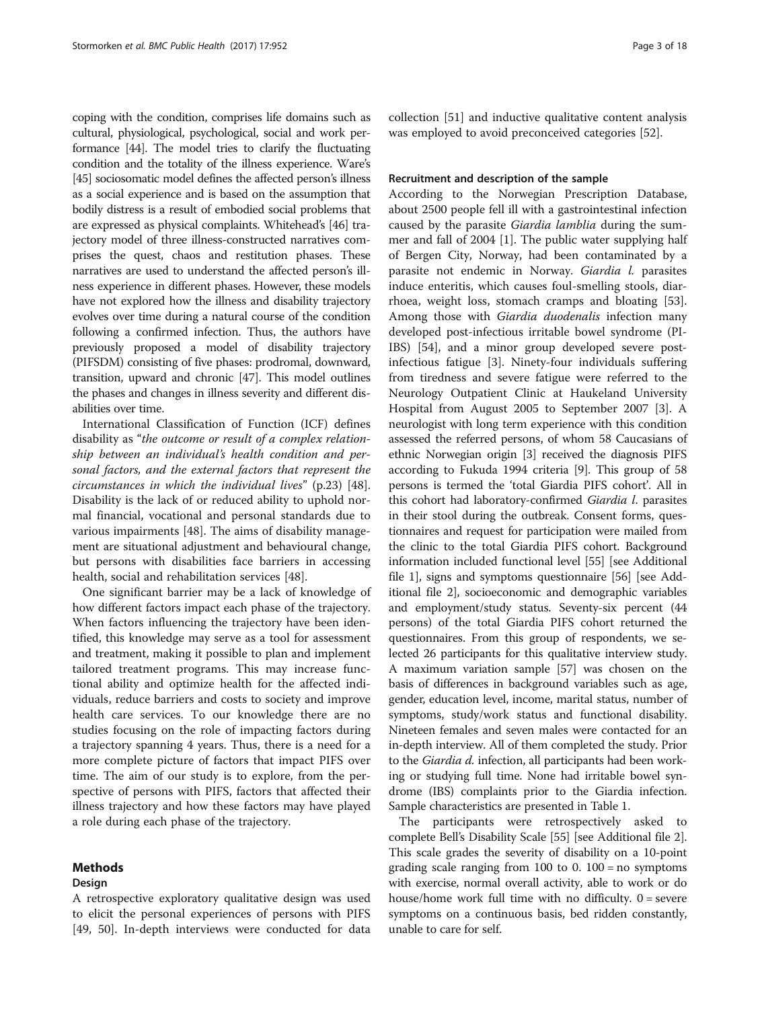coping with the condition, comprises life domains such as cultural, physiological, psychological, social and work performance [\[44\]](#page-16-0). The model tries to clarify the fluctuating condition and the totality of the illness experience. Ware's [[45](#page-16-0)] sociosomatic model defines the affected person's illness as a social experience and is based on the assumption that bodily distress is a result of embodied social problems that are expressed as physical complaints. Whitehead's [[46](#page-16-0)] trajectory model of three illness-constructed narratives comprises the quest, chaos and restitution phases. These narratives are used to understand the affected person's illness experience in different phases. However, these models have not explored how the illness and disability trajectory evolves over time during a natural course of the condition following a confirmed infection. Thus, the authors have previously proposed a model of disability trajectory (PIFSDM) consisting of five phases: prodromal, downward, transition, upward and chronic [\[47\]](#page-16-0). This model outlines the phases and changes in illness severity and different disabilities over time.

International Classification of Function (ICF) defines disability as "the outcome or result of a complex relationship between an individual's health condition and personal factors, and the external factors that represent the circumstances in which the individual lives" (p.23) [\[48](#page-16-0)]. Disability is the lack of or reduced ability to uphold normal financial, vocational and personal standards due to various impairments [[48](#page-16-0)]. The aims of disability management are situational adjustment and behavioural change, but persons with disabilities face barriers in accessing health, social and rehabilitation services [[48\]](#page-16-0).

One significant barrier may be a lack of knowledge of how different factors impact each phase of the trajectory. When factors influencing the trajectory have been identified, this knowledge may serve as a tool for assessment and treatment, making it possible to plan and implement tailored treatment programs. This may increase functional ability and optimize health for the affected individuals, reduce barriers and costs to society and improve health care services. To our knowledge there are no studies focusing on the role of impacting factors during a trajectory spanning 4 years. Thus, there is a need for a more complete picture of factors that impact PIFS over time. The aim of our study is to explore, from the perspective of persons with PIFS, factors that affected their illness trajectory and how these factors may have played a role during each phase of the trajectory.

## Methods

#### Design

A retrospective exploratory qualitative design was used to elicit the personal experiences of persons with PIFS [[49, 50\]](#page-16-0). In-depth interviews were conducted for data collection [\[51\]](#page-16-0) and inductive qualitative content analysis was employed to avoid preconceived categories [[52](#page-16-0)].

# Recruitment and description of the sample

According to the Norwegian Prescription Database, about 2500 people fell ill with a gastrointestinal infection caused by the parasite Giardia lamblia during the summer and fall of 2004 [[1\]](#page-15-0). The public water supplying half of Bergen City, Norway, had been contaminated by a parasite not endemic in Norway. Giardia l. parasites induce enteritis, which causes foul-smelling stools, diarrhoea, weight loss, stomach cramps and bloating [\[53](#page-16-0)]. Among those with Giardia duodenalis infection many developed post-infectious irritable bowel syndrome (PI-IBS) [[54](#page-16-0)], and a minor group developed severe postinfectious fatigue [\[3](#page-15-0)]. Ninety-four individuals suffering from tiredness and severe fatigue were referred to the Neurology Outpatient Clinic at Haukeland University Hospital from August 2005 to September 2007 [[3](#page-15-0)]. A neurologist with long term experience with this condition assessed the referred persons, of whom 58 Caucasians of ethnic Norwegian origin [[3](#page-15-0)] received the diagnosis PIFS according to Fukuda 1994 criteria [\[9\]](#page-15-0). This group of 58 persons is termed the 'total Giardia PIFS cohort'. All in this cohort had laboratory-confirmed Giardia l. parasites in their stool during the outbreak. Consent forms, questionnaires and request for participation were mailed from the clinic to the total Giardia PIFS cohort. Background information included functional level [\[55](#page-16-0)] [see Additional file [1](#page-15-0)], signs and symptoms questionnaire [\[56\]](#page-16-0) [see Additional file [2](#page-15-0)], socioeconomic and demographic variables and employment/study status. Seventy-six percent (44 persons) of the total Giardia PIFS cohort returned the questionnaires. From this group of respondents, we selected 26 participants for this qualitative interview study. A maximum variation sample [\[57](#page-16-0)] was chosen on the basis of differences in background variables such as age, gender, education level, income, marital status, number of symptoms, study/work status and functional disability. Nineteen females and seven males were contacted for an in-depth interview. All of them completed the study. Prior to the Giardia d. infection, all participants had been working or studying full time. None had irritable bowel syndrome (IBS) complaints prior to the Giardia infection. Sample characteristics are presented in Table [1](#page-3-0).

The participants were retrospectively asked to complete Bell's Disability Scale [\[55\]](#page-16-0) [see Additional file [2](#page-15-0)]. This scale grades the severity of disability on a 10-point grading scale ranging from 100 to 0. 100 = no symptoms with exercise, normal overall activity, able to work or do house/home work full time with no difficulty.  $0 =$  severe symptoms on a continuous basis, bed ridden constantly, unable to care for self.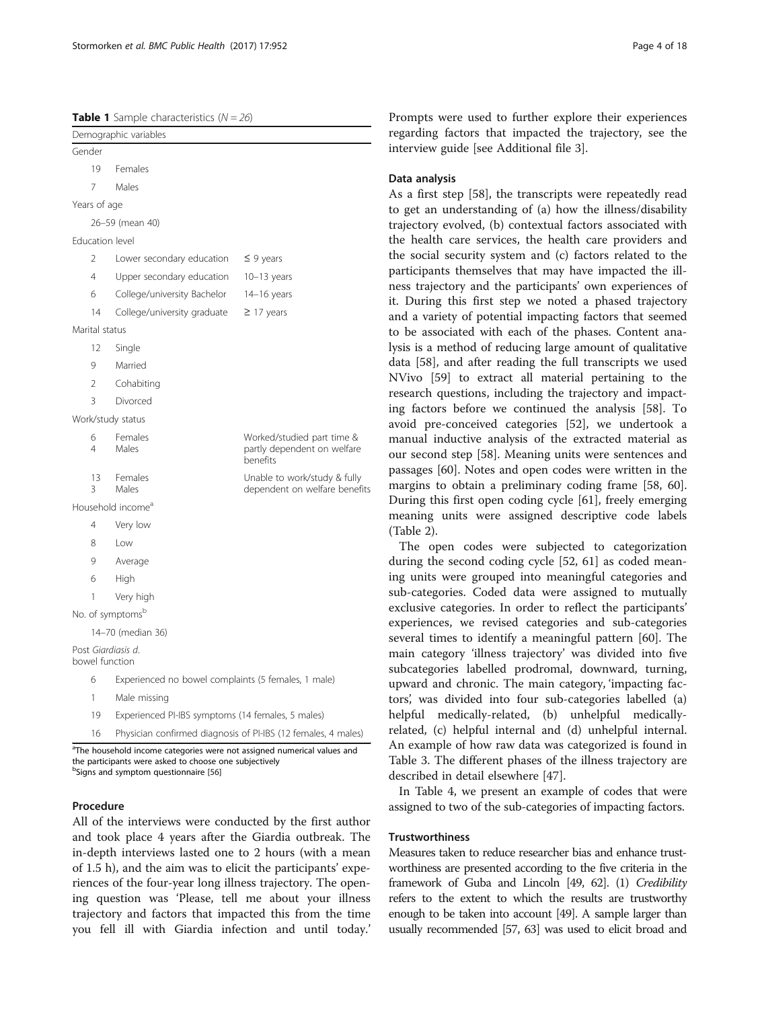<span id="page-3-0"></span>**Table 1** Sample characteristics  $(N = 26)$ 

|                        | Demographic variables                               |                                                                       |  |  |
|------------------------|-----------------------------------------------------|-----------------------------------------------------------------------|--|--|
| Gender                 |                                                     |                                                                       |  |  |
| 19                     | Females                                             |                                                                       |  |  |
| 7                      | Males                                               |                                                                       |  |  |
| Years of age           |                                                     |                                                                       |  |  |
|                        | 26-59 (mean 40)                                     |                                                                       |  |  |
| <b>Education level</b> |                                                     |                                                                       |  |  |
| $\overline{2}$         | Lower secondary education                           | $\leq$ 9 years                                                        |  |  |
| 4                      | Upper secondary education                           | $10-13$ years                                                         |  |  |
| 6                      | College/university Bachelor                         | $14-16$ years                                                         |  |  |
| 14                     | College/university graduate                         | $\geq$ 17 years                                                       |  |  |
| Marital status         |                                                     |                                                                       |  |  |
| 12                     | Single                                              |                                                                       |  |  |
| 9                      | Married                                             |                                                                       |  |  |
| 2                      | Cohabiting                                          |                                                                       |  |  |
| 3                      | Divorced                                            |                                                                       |  |  |
|                        | Work/study status                                   |                                                                       |  |  |
| 6<br>4                 | Females<br>Males                                    | Worked/studied part time &<br>partly dependent on welfare<br>benefits |  |  |
| 13<br>3                | Females<br>Males                                    | Unable to work/study & fully<br>dependent on welfare benefits         |  |  |
|                        | Household income <sup>a</sup>                       |                                                                       |  |  |
| 4                      | Very low                                            |                                                                       |  |  |
| 8                      | l ow                                                |                                                                       |  |  |
| 9                      | Average                                             |                                                                       |  |  |
| 6                      | High                                                |                                                                       |  |  |
| 1                      | Very high                                           |                                                                       |  |  |
|                        | No. of symptoms <sup>b</sup>                        |                                                                       |  |  |
|                        | 14-70 (median 36)                                   |                                                                       |  |  |
| bowel function         | Post Giardiasis d.                                  |                                                                       |  |  |
| 6                      | Experienced no bowel complaints (5 females, 1 male) |                                                                       |  |  |
| 1                      | Male missing                                        |                                                                       |  |  |
| 19                     | Experienced PI-IBS symptoms (14 females, 5 males)   |                                                                       |  |  |

16 Physician confirmed diagnosis of PI-IBS (12 females, 4 males)

#### Procedure

All of the interviews were conducted by the first author and took place 4 years after the Giardia outbreak. The in-depth interviews lasted one to 2 hours (with a mean of 1.5 h), and the aim was to elicit the participants' experiences of the four-year long illness trajectory. The opening question was 'Please, tell me about your illness trajectory and factors that impacted this from the time you fell ill with Giardia infection and until today.' Prompts were used to further explore their experiences regarding factors that impacted the trajectory, see the interview guide [see Additional file [3\]](#page-15-0).

# Data analysis

As a first step [\[58](#page-16-0)], the transcripts were repeatedly read to get an understanding of (a) how the illness/disability trajectory evolved, (b) contextual factors associated with the health care services, the health care providers and the social security system and (c) factors related to the participants themselves that may have impacted the illness trajectory and the participants' own experiences of it. During this first step we noted a phased trajectory and a variety of potential impacting factors that seemed to be associated with each of the phases. Content analysis is a method of reducing large amount of qualitative data [[58\]](#page-16-0), and after reading the full transcripts we used NVivo [[59](#page-16-0)] to extract all material pertaining to the research questions, including the trajectory and impacting factors before we continued the analysis [[58](#page-16-0)]. To avoid pre-conceived categories [\[52](#page-16-0)], we undertook a manual inductive analysis of the extracted material as our second step [[58\]](#page-16-0). Meaning units were sentences and passages [[60\]](#page-16-0). Notes and open codes were written in the margins to obtain a preliminary coding frame [\[58, 60](#page-16-0)]. During this first open coding cycle [\[61\]](#page-16-0), freely emerging meaning units were assigned descriptive code labels (Table [2\)](#page-4-0).

The open codes were subjected to categorization during the second coding cycle [\[52, 61](#page-16-0)] as coded meaning units were grouped into meaningful categories and sub-categories. Coded data were assigned to mutually exclusive categories. In order to reflect the participants' experiences, we revised categories and sub-categories several times to identify a meaningful pattern [\[60](#page-16-0)]. The main category 'illness trajectory' was divided into five subcategories labelled prodromal, downward, turning, upward and chronic. The main category, 'impacting factors', was divided into four sub-categories labelled (a) helpful medically-related, (b) unhelpful medicallyrelated, (c) helpful internal and (d) unhelpful internal. An example of how raw data was categorized is found in Table [3](#page-4-0). The different phases of the illness trajectory are described in detail elsewhere [\[47](#page-16-0)].

In Table [4,](#page-5-0) we present an example of codes that were assigned to two of the sub-categories of impacting factors.

# Trustworthiness

Measures taken to reduce researcher bias and enhance trustworthiness are presented according to the five criteria in the framework of Guba and Lincoln [\[49](#page-16-0), [62\]](#page-16-0). (1) Credibility refers to the extent to which the results are trustworthy enough to be taken into account [\[49\]](#page-16-0). A sample larger than usually recommended [\[57, 63](#page-16-0)] was used to elicit broad and

<sup>&</sup>lt;sup>a</sup>The household income categories were not assigned numerical values and the participants were asked to choose one subjectively <sup>b</sup>Signs and symptom questionnaire [[56\]](#page-16-0)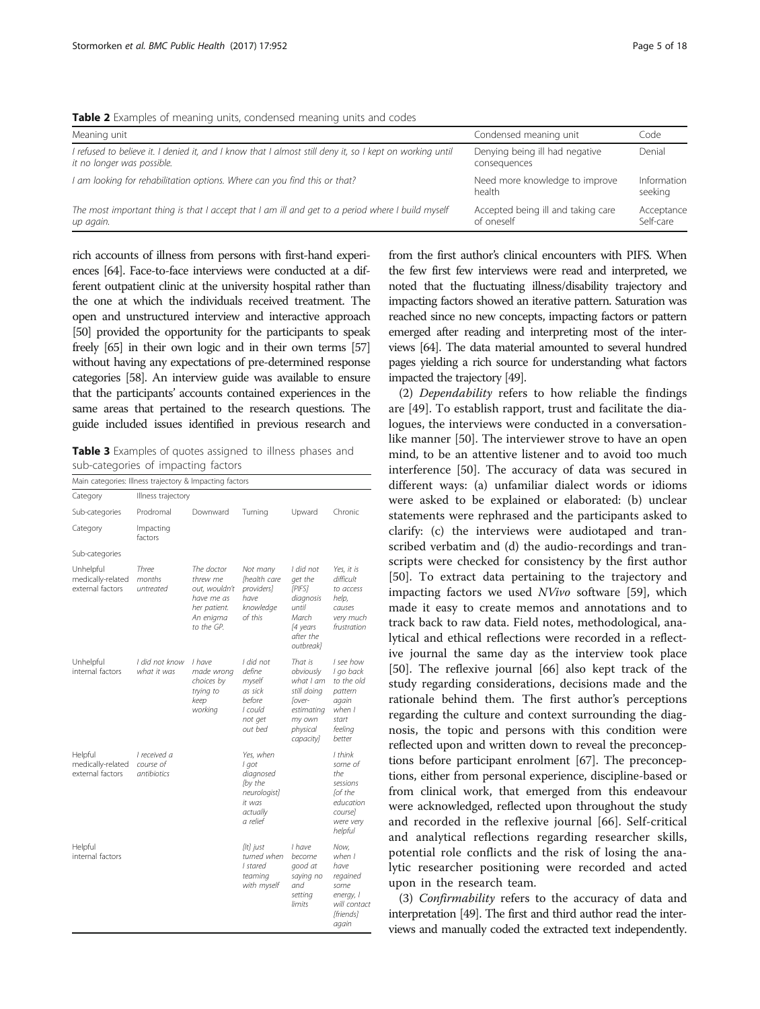Meaning unit Condensed meaning unit Code I refused to believe it. I denied it, and I know that I almost still deny it, so I kept on working until it no longer was possible. Denying being ill had negative consequences Denial I am looking for rehabilitation options. Where can you find this or that? Need more knowledge to improve health Information seeking The most important thing is that I accept that I am ill and get to a period where I build myself up again. Accepted being ill and taking care of oneself Acceptance Self-care

<span id="page-4-0"></span>Table 2 Examples of meaning units, condensed meaning units and codes

rich accounts of illness from persons with first-hand experiences [\[64](#page-16-0)]. Face-to-face interviews were conducted at a different outpatient clinic at the university hospital rather than the one at which the individuals received treatment. The open and unstructured interview and interactive approach [[50\]](#page-16-0) provided the opportunity for the participants to speak freely [\[65](#page-16-0)] in their own logic and in their own terms [\[57](#page-16-0)] without having any expectations of pre-determined response categories [\[58](#page-16-0)]. An interview guide was available to ensure that the participants' accounts contained experiences in the same areas that pertained to the research questions. The guide included issues identified in previous research and

Table 3 Examples of quotes assigned to illness phases and sub-categories of impacting factors

| Category                                           | Illness trajectory                              |                                                                                                  |                                                                                              |                                                                                                             |                                                                                                  |
|----------------------------------------------------|-------------------------------------------------|--------------------------------------------------------------------------------------------------|----------------------------------------------------------------------------------------------|-------------------------------------------------------------------------------------------------------------|--------------------------------------------------------------------------------------------------|
| Sub-categories                                     | Prodromal                                       | Downward                                                                                         | Turning                                                                                      | Upward                                                                                                      | Chronic                                                                                          |
| Category                                           | Impacting<br>factors                            |                                                                                                  |                                                                                              |                                                                                                             |                                                                                                  |
| Sub-categories                                     |                                                 |                                                                                                  |                                                                                              |                                                                                                             |                                                                                                  |
| Unhelpful<br>medically-related<br>external factors | Three<br>months<br>untreated                    | The doctor<br>threw me<br>out, wouldn't<br>have me as<br>her patient.<br>An enigma<br>to the GP. | Not many<br>lhealth care<br>providers]<br>have<br>knowledge<br>of this                       | I did not<br>get the<br>[PIFS]<br>diagnosis<br>until<br>March<br>[4 years<br>after the<br>outbreak]         | Yes, it is<br>difficult<br>to access<br>help,<br>causes<br>very much<br>frustration              |
| Unhelpful<br>internal factors                      | I did not know<br>what it was                   | I have<br>made wrong<br>choices by<br>trying to<br>keep<br>working                               | I did not<br>define<br>myself<br>as sick<br>before<br>l could<br>not get<br>out bed          | That is<br>obviously<br>what I am<br>still doing<br>fover-<br>estimating<br>my own<br>physical<br>capacity] | I see how<br>I go back<br>to the old<br>pattern<br>again<br>when I<br>start<br>feeling<br>better |
| Helpful<br>medically-related<br>external factors   | I received a<br>course of<br><i>antibiotics</i> |                                                                                                  | Yes, when<br>l got<br>diagnosed<br>lby the<br>neurologist]<br>it was<br>actually<br>a relief |                                                                                                             | I think<br>some of<br>the<br>sessions<br>fof the<br>education<br>course]<br>were very<br>helpful |
| Helpful<br>internal factors                        |                                                 |                                                                                                  | [It] just<br>turned when<br>I stared<br>teaming<br>with myself                               | I have<br>become<br>good at<br>saying no<br>and<br>setting<br>limits                                        | Now,<br>when I<br>have<br>regained<br>some<br>energy, I<br>will contact<br>[friends]<br>again    |

from the first author's clinical encounters with PIFS. When the few first few interviews were read and interpreted, we noted that the fluctuating illness/disability trajectory and impacting factors showed an iterative pattern. Saturation was reached since no new concepts, impacting factors or pattern emerged after reading and interpreting most of the interviews [\[64](#page-16-0)]. The data material amounted to several hundred pages yielding a rich source for understanding what factors impacted the trajectory [[49\]](#page-16-0).

(2) Dependability refers to how reliable the findings are [\[49](#page-16-0)]. To establish rapport, trust and facilitate the dialogues, the interviews were conducted in a conversationlike manner [[50](#page-16-0)]. The interviewer strove to have an open mind, to be an attentive listener and to avoid too much interference [\[50\]](#page-16-0). The accuracy of data was secured in different ways: (a) unfamiliar dialect words or idioms were asked to be explained or elaborated: (b) unclear statements were rephrased and the participants asked to clarify: (c) the interviews were audiotaped and transcribed verbatim and (d) the audio-recordings and transcripts were checked for consistency by the first author [[50\]](#page-16-0). To extract data pertaining to the trajectory and impacting factors we used NVivo software [\[59\]](#page-16-0), which made it easy to create memos and annotations and to track back to raw data. Field notes, methodological, analytical and ethical reflections were recorded in a reflective journal the same day as the interview took place [[50\]](#page-16-0). The reflexive journal [[66](#page-16-0)] also kept track of the study regarding considerations, decisions made and the rationale behind them. The first author's perceptions regarding the culture and context surrounding the diagnosis, the topic and persons with this condition were reflected upon and written down to reveal the preconceptions before participant enrolment [\[67\]](#page-16-0). The preconceptions, either from personal experience, discipline-based or from clinical work, that emerged from this endeavour were acknowledged, reflected upon throughout the study and recorded in the reflexive journal [[66\]](#page-16-0). Self-critical and analytical reflections regarding researcher skills, potential role conflicts and the risk of losing the analytic researcher positioning were recorded and acted upon in the research team.

(3) Confirmability refers to the accuracy of data and interpretation [\[49\]](#page-16-0). The first and third author read the interviews and manually coded the extracted text independently.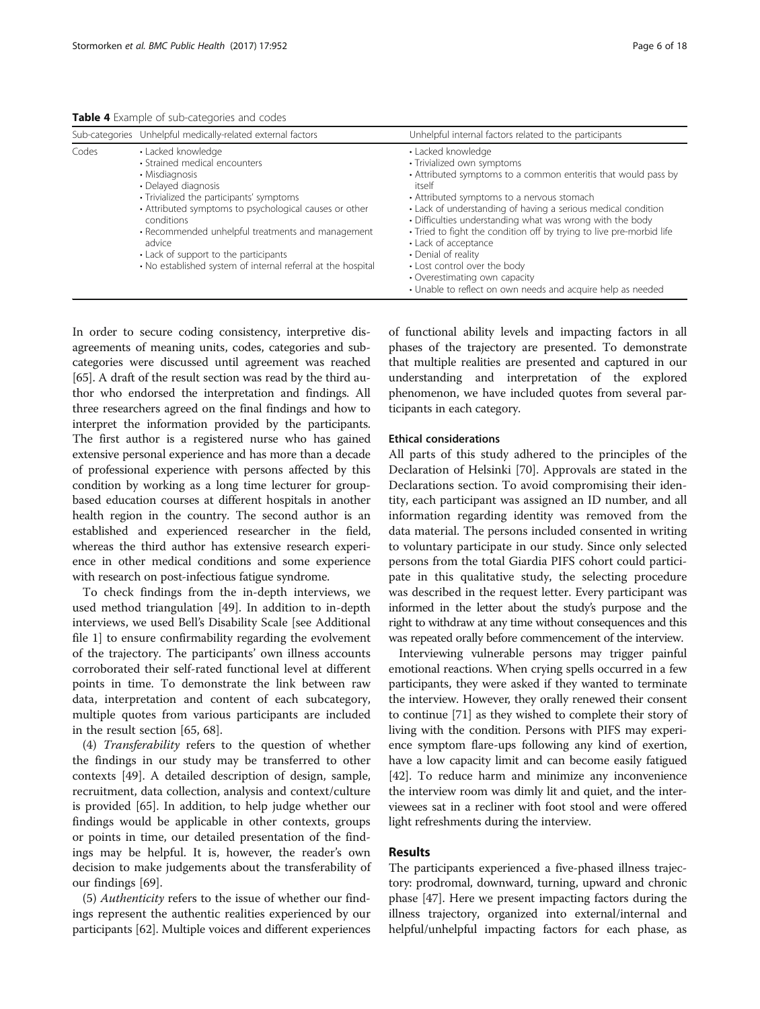<span id="page-5-0"></span>Table 4 Example of sub-categories and codes

|       | Sub-categories Unhelpful medically-related external factors                                                                                                                                                                                                                                                                                                                              | Unhelpful internal factors related to the participants                                                                                                                                                                                                                                                                                                                                                                                                                                                                                                          |
|-------|------------------------------------------------------------------------------------------------------------------------------------------------------------------------------------------------------------------------------------------------------------------------------------------------------------------------------------------------------------------------------------------|-----------------------------------------------------------------------------------------------------------------------------------------------------------------------------------------------------------------------------------------------------------------------------------------------------------------------------------------------------------------------------------------------------------------------------------------------------------------------------------------------------------------------------------------------------------------|
| Codes | • Lacked knowledge<br>• Strained medical encounters<br>• Misdiagnosis<br>• Delayed diagnosis<br>• Trivialized the participants' symptoms<br>• Attributed symptoms to psychological causes or other<br>conditions<br>• Recommended unhelpful treatments and management<br>advice<br>• Lack of support to the participants<br>• No established system of internal referral at the hospital | • Lacked knowledge<br>· Trivialized own symptoms<br>• Attributed symptoms to a common enteritis that would pass by<br>itself<br>• Attributed symptoms to a nervous stomach<br>• Lack of understanding of having a serious medical condition<br>• Difficulties understanding what was wrong with the body<br>· Tried to fight the condition off by trying to live pre-morbid life<br>• Lack of acceptance<br>• Denial of reality<br>• Lost control over the body<br>• Overestimating own capacity<br>• Unable to reflect on own needs and acquire help as needed |

In order to secure coding consistency, interpretive disagreements of meaning units, codes, categories and subcategories were discussed until agreement was reached [[65](#page-16-0)]. A draft of the result section was read by the third author who endorsed the interpretation and findings. All three researchers agreed on the final findings and how to interpret the information provided by the participants. The first author is a registered nurse who has gained extensive personal experience and has more than a decade of professional experience with persons affected by this condition by working as a long time lecturer for groupbased education courses at different hospitals in another health region in the country. The second author is an established and experienced researcher in the field, whereas the third author has extensive research experience in other medical conditions and some experience with research on post-infectious fatigue syndrome.

To check findings from the in-depth interviews, we used method triangulation [\[49\]](#page-16-0). In addition to in-depth interviews, we used Bell's Disability Scale [see Additional file [1](#page-15-0)] to ensure confirmability regarding the evolvement of the trajectory. The participants' own illness accounts corroborated their self-rated functional level at different points in time. To demonstrate the link between raw data, interpretation and content of each subcategory, multiple quotes from various participants are included in the result section [\[65](#page-16-0), [68](#page-16-0)].

(4) Transferability refers to the question of whether the findings in our study may be transferred to other contexts [\[49](#page-16-0)]. A detailed description of design, sample, recruitment, data collection, analysis and context/culture is provided [[65](#page-16-0)]. In addition, to help judge whether our findings would be applicable in other contexts, groups or points in time, our detailed presentation of the findings may be helpful. It is, however, the reader's own decision to make judgements about the transferability of our findings [\[69](#page-16-0)].

(5) Authenticity refers to the issue of whether our findings represent the authentic realities experienced by our participants [\[62](#page-16-0)]. Multiple voices and different experiences of functional ability levels and impacting factors in all phases of the trajectory are presented. To demonstrate that multiple realities are presented and captured in our understanding and interpretation of the explored phenomenon, we have included quotes from several participants in each category.

## Ethical considerations

All parts of this study adhered to the principles of the Declaration of Helsinki [\[70](#page-16-0)]. Approvals are stated in the Declarations section. To avoid compromising their identity, each participant was assigned an ID number, and all information regarding identity was removed from the data material. The persons included consented in writing to voluntary participate in our study. Since only selected persons from the total Giardia PIFS cohort could participate in this qualitative study, the selecting procedure was described in the request letter. Every participant was informed in the letter about the study's purpose and the right to withdraw at any time without consequences and this was repeated orally before commencement of the interview.

Interviewing vulnerable persons may trigger painful emotional reactions. When crying spells occurred in a few participants, they were asked if they wanted to terminate the interview. However, they orally renewed their consent to continue [\[71\]](#page-16-0) as they wished to complete their story of living with the condition. Persons with PIFS may experience symptom flare-ups following any kind of exertion, have a low capacity limit and can become easily fatigued [[42](#page-16-0)]. To reduce harm and minimize any inconvenience the interview room was dimly lit and quiet, and the interviewees sat in a recliner with foot stool and were offered light refreshments during the interview.

#### Results

The participants experienced a five-phased illness trajectory: prodromal, downward, turning, upward and chronic phase [\[47\]](#page-16-0). Here we present impacting factors during the illness trajectory, organized into external/internal and helpful/unhelpful impacting factors for each phase, as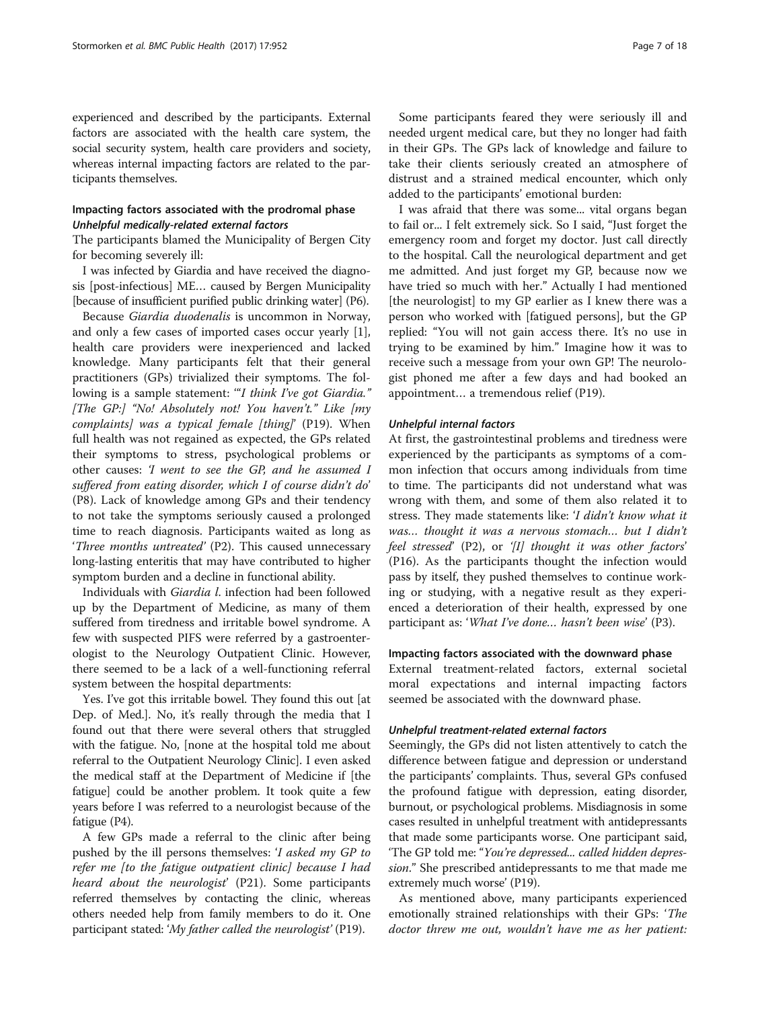experienced and described by the participants. External factors are associated with the health care system, the social security system, health care providers and society, whereas internal impacting factors are related to the participants themselves.

# Impacting factors associated with the prodromal phase Unhelpful medically-related external factors

The participants blamed the Municipality of Bergen City for becoming severely ill:

I was infected by Giardia and have received the diagnosis [post-infectious] ME… caused by Bergen Municipality [because of insufficient purified public drinking water] (P6).

Because Giardia duodenalis is uncommon in Norway, and only a few cases of imported cases occur yearly [\[1](#page-15-0)], health care providers were inexperienced and lacked knowledge. Many participants felt that their general practitioners (GPs) trivialized their symptoms. The following is a sample statement: "I think I've got Giardia." [The GP:] "No! Absolutely not! You haven't." Like [my complaints] was a typical female [thing]' (P19). When full health was not regained as expected, the GPs related their symptoms to stress, psychological problems or other causes: 'I went to see the GP, and he assumed I suffered from eating disorder, which I of course didn't do' (P8). Lack of knowledge among GPs and their tendency to not take the symptoms seriously caused a prolonged time to reach diagnosis. Participants waited as long as 'Three months untreated' (P2). This caused unnecessary long-lasting enteritis that may have contributed to higher symptom burden and a decline in functional ability.

Individuals with Giardia l. infection had been followed up by the Department of Medicine, as many of them suffered from tiredness and irritable bowel syndrome. A few with suspected PIFS were referred by a gastroenterologist to the Neurology Outpatient Clinic. However, there seemed to be a lack of a well-functioning referral system between the hospital departments:

Yes. I've got this irritable bowel. They found this out [at Dep. of Med.]. No, it's really through the media that I found out that there were several others that struggled with the fatigue. No, [none at the hospital told me about referral to the Outpatient Neurology Clinic]. I even asked the medical staff at the Department of Medicine if [the fatigue] could be another problem. It took quite a few years before I was referred to a neurologist because of the fatigue (P4).

A few GPs made a referral to the clinic after being pushed by the ill persons themselves: 'I asked my GP to refer me [to the fatigue outpatient clinic] because I had heard about the neurologist' (P21). Some participants referred themselves by contacting the clinic, whereas others needed help from family members to do it. One participant stated: 'My father called the neurologist' (P19).

Some participants feared they were seriously ill and needed urgent medical care, but they no longer had faith in their GPs. The GPs lack of knowledge and failure to take their clients seriously created an atmosphere of distrust and a strained medical encounter, which only added to the participants' emotional burden:

I was afraid that there was some... vital organs began to fail or... I felt extremely sick. So I said, "Just forget the emergency room and forget my doctor. Just call directly to the hospital. Call the neurological department and get me admitted. And just forget my GP, because now we have tried so much with her." Actually I had mentioned [the neurologist] to my GP earlier as I knew there was a person who worked with [fatigued persons], but the GP replied: "You will not gain access there. It's no use in trying to be examined by him." Imagine how it was to receive such a message from your own GP! The neurologist phoned me after a few days and had booked an appointment… a tremendous relief (P19).

## Unhelpful internal factors

At first, the gastrointestinal problems and tiredness were experienced by the participants as symptoms of a common infection that occurs among individuals from time to time. The participants did not understand what was wrong with them, and some of them also related it to stress. They made statements like: 'I didn't know what it was… thought it was a nervous stomach… but I didn't feel stressed' (P2), or '[I] thought it was other factors' (P16). As the participants thought the infection would pass by itself, they pushed themselves to continue working or studying, with a negative result as they experienced a deterioration of their health, expressed by one participant as: 'What I've done… hasn't been wise' (P3).

## Impacting factors associated with the downward phase

External treatment-related factors, external societal moral expectations and internal impacting factors seemed be associated with the downward phase.

#### Unhelpful treatment-related external factors

Seemingly, the GPs did not listen attentively to catch the difference between fatigue and depression or understand the participants' complaints. Thus, several GPs confused the profound fatigue with depression, eating disorder, burnout, or psychological problems. Misdiagnosis in some cases resulted in unhelpful treatment with antidepressants that made some participants worse. One participant said, 'The GP told me: "You're depressed... called hidden depression." She prescribed antidepressants to me that made me extremely much worse' (P19).

As mentioned above, many participants experienced emotionally strained relationships with their GPs: 'The doctor threw me out, wouldn't have me as her patient: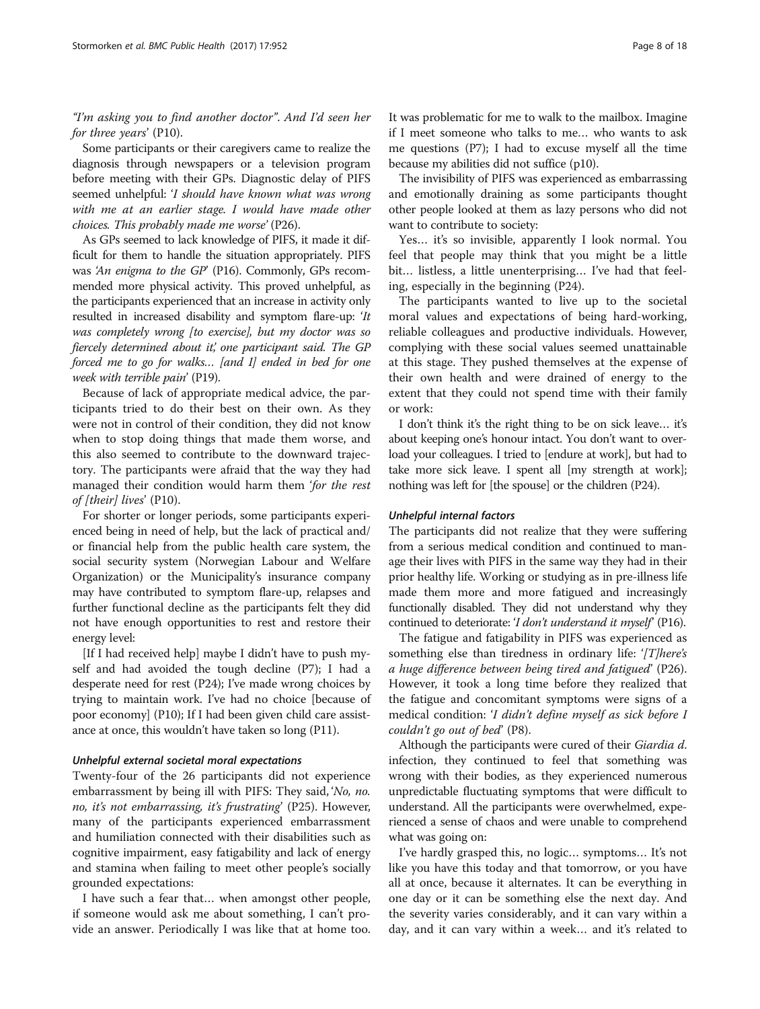"I'm asking you to find another doctor". And I'd seen her for three years' (P10).

Some participants or their caregivers came to realize the diagnosis through newspapers or a television program before meeting with their GPs. Diagnostic delay of PIFS seemed unhelpful: 'I should have known what was wrong with me at an earlier stage. I would have made other choices. This probably made me worse' (P26).

As GPs seemed to lack knowledge of PIFS, it made it difficult for them to handle the situation appropriately. PIFS was 'An enigma to the GP' (P16). Commonly, GPs recommended more physical activity. This proved unhelpful, as the participants experienced that an increase in activity only resulted in increased disability and symptom flare-up: 'It was completely wrong [to exercise], but my doctor was so fiercely determined about it, one participant said. The GP forced me to go for walks… [and I] ended in bed for one week with terrible pain' (P19).

Because of lack of appropriate medical advice, the participants tried to do their best on their own. As they were not in control of their condition, they did not know when to stop doing things that made them worse, and this also seemed to contribute to the downward trajectory. The participants were afraid that the way they had managed their condition would harm them 'for the rest of [their] lives'  $($ P10 $).$ 

For shorter or longer periods, some participants experienced being in need of help, but the lack of practical and/ or financial help from the public health care system, the social security system (Norwegian Labour and Welfare Organization) or the Municipality's insurance company may have contributed to symptom flare-up, relapses and further functional decline as the participants felt they did not have enough opportunities to rest and restore their energy level:

[If I had received help] maybe I didn't have to push myself and had avoided the tough decline (P7); I had a desperate need for rest (P24); I've made wrong choices by trying to maintain work. I've had no choice [because of poor economy] (P10); If I had been given child care assistance at once, this wouldn't have taken so long (P11).

#### Unhelpful external societal moral expectations

Twenty-four of the 26 participants did not experience embarrassment by being ill with PIFS: They said, 'No, no. no, it's not embarrassing, it's frustrating' (P25). However, many of the participants experienced embarrassment and humiliation connected with their disabilities such as cognitive impairment, easy fatigability and lack of energy and stamina when failing to meet other people's socially grounded expectations:

I have such a fear that… when amongst other people, if someone would ask me about something, I can't provide an answer. Periodically I was like that at home too. It was problematic for me to walk to the mailbox. Imagine if I meet someone who talks to me… who wants to ask me questions (P7); I had to excuse myself all the time because my abilities did not suffice (p10).

The invisibility of PIFS was experienced as embarrassing and emotionally draining as some participants thought other people looked at them as lazy persons who did not want to contribute to society:

Yes… it's so invisible, apparently I look normal. You feel that people may think that you might be a little bit… listless, a little unenterprising… I've had that feeling, especially in the beginning (P24).

The participants wanted to live up to the societal moral values and expectations of being hard-working, reliable colleagues and productive individuals. However, complying with these social values seemed unattainable at this stage. They pushed themselves at the expense of their own health and were drained of energy to the extent that they could not spend time with their family or work:

I don't think it's the right thing to be on sick leave… it's about keeping one's honour intact. You don't want to overload your colleagues. I tried to [endure at work], but had to take more sick leave. I spent all [my strength at work]; nothing was left for [the spouse] or the children (P24).

#### Unhelpful internal factors

The participants did not realize that they were suffering from a serious medical condition and continued to manage their lives with PIFS in the same way they had in their prior healthy life. Working or studying as in pre-illness life made them more and more fatigued and increasingly functionally disabled. They did not understand why they continued to deteriorate: 'I don't understand it myself' (P16).

The fatigue and fatigability in PIFS was experienced as something else than tiredness in ordinary life: '[T]here's a huge difference between being tired and fatigued' (P26). However, it took a long time before they realized that the fatigue and concomitant symptoms were signs of a medical condition: 'I didn't define myself as sick before I couldn't go out of bed' (P8).

Although the participants were cured of their Giardia d. infection, they continued to feel that something was wrong with their bodies, as they experienced numerous unpredictable fluctuating symptoms that were difficult to understand. All the participants were overwhelmed, experienced a sense of chaos and were unable to comprehend what was going on:

I've hardly grasped this, no logic… symptoms… It's not like you have this today and that tomorrow, or you have all at once, because it alternates. It can be everything in one day or it can be something else the next day. And the severity varies considerably, and it can vary within a day, and it can vary within a week… and it's related to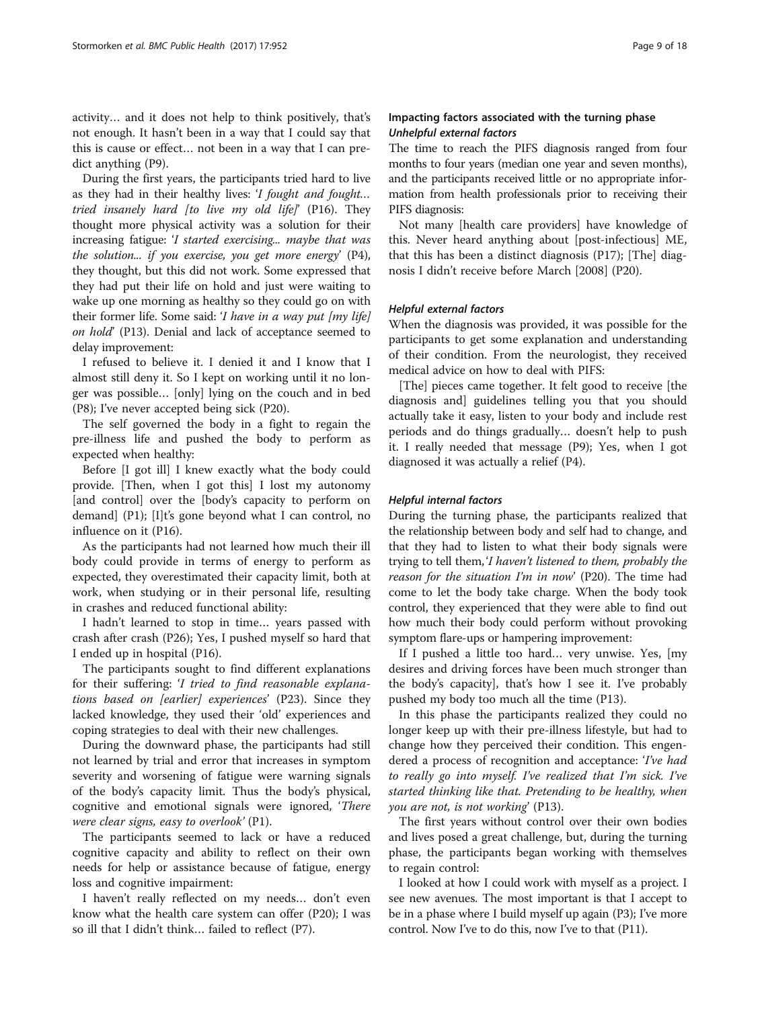activity… and it does not help to think positively, that's not enough. It hasn't been in a way that I could say that this is cause or effect… not been in a way that I can predict anything (P9).

During the first years, the participants tried hard to live as they had in their healthy lives: 'I fought and fought… tried insanely hard  $[$ to live my old life $]$ <sup>\*</sup> (P16). They thought more physical activity was a solution for their increasing fatigue: 'I started exercising... maybe that was the solution... if you exercise, you get more energy' (P4), they thought, but this did not work. Some expressed that they had put their life on hold and just were waiting to wake up one morning as healthy so they could go on with their former life. Some said: 'I have in a way put [my life] on hold' (P13). Denial and lack of acceptance seemed to delay improvement:

I refused to believe it. I denied it and I know that I almost still deny it. So I kept on working until it no longer was possible… [only] lying on the couch and in bed (P8); I've never accepted being sick (P20).

The self governed the body in a fight to regain the pre-illness life and pushed the body to perform as expected when healthy:

Before [I got ill] I knew exactly what the body could provide. [Then, when I got this] I lost my autonomy [and control] over the [body's capacity to perform on demand] (P1); [I]t's gone beyond what I can control, no influence on it (P16).

As the participants had not learned how much their ill body could provide in terms of energy to perform as expected, they overestimated their capacity limit, both at work, when studying or in their personal life, resulting in crashes and reduced functional ability:

I hadn't learned to stop in time… years passed with crash after crash (P26); Yes, I pushed myself so hard that I ended up in hospital (P16).

The participants sought to find different explanations for their suffering: 'I tried to find reasonable explanations based on [earlier] experiences' (P23). Since they lacked knowledge, they used their 'old' experiences and coping strategies to deal with their new challenges.

During the downward phase, the participants had still not learned by trial and error that increases in symptom severity and worsening of fatigue were warning signals of the body's capacity limit. Thus the body's physical, cognitive and emotional signals were ignored, 'There were clear signs, easy to overlook' (P1).

The participants seemed to lack or have a reduced cognitive capacity and ability to reflect on their own needs for help or assistance because of fatigue, energy loss and cognitive impairment:

I haven't really reflected on my needs… don't even know what the health care system can offer (P20); I was so ill that I didn't think… failed to reflect (P7).

# Impacting factors associated with the turning phase Unhelpful external factors

The time to reach the PIFS diagnosis ranged from four months to four years (median one year and seven months), and the participants received little or no appropriate information from health professionals prior to receiving their PIFS diagnosis:

Not many [health care providers] have knowledge of this. Never heard anything about [post-infectious] ME, that this has been a distinct diagnosis (P17); [The] diagnosis I didn't receive before March [2008] (P20).

# Helpful external factors

When the diagnosis was provided, it was possible for the participants to get some explanation and understanding of their condition. From the neurologist, they received medical advice on how to deal with PIFS:

[The] pieces came together. It felt good to receive [the diagnosis and] guidelines telling you that you should actually take it easy, listen to your body and include rest periods and do things gradually… doesn't help to push it. I really needed that message (P9); Yes, when I got diagnosed it was actually a relief (P4).

# Helpful internal factors

During the turning phase, the participants realized that the relationship between body and self had to change, and that they had to listen to what their body signals were trying to tell them, 'I haven't listened to them, probably the reason for the situation I'm in now' (P20). The time had come to let the body take charge. When the body took control, they experienced that they were able to find out how much their body could perform without provoking symptom flare-ups or hampering improvement:

If I pushed a little too hard… very unwise. Yes, [my desires and driving forces have been much stronger than the body's capacity], that's how I see it. I've probably pushed my body too much all the time (P13).

In this phase the participants realized they could no longer keep up with their pre-illness lifestyle, but had to change how they perceived their condition. This engendered a process of recognition and acceptance: 'I've had to really go into myself. I've realized that I'm sick. I've started thinking like that. Pretending to be healthy, when you are not, is not working' (P13).

The first years without control over their own bodies and lives posed a great challenge, but, during the turning phase, the participants began working with themselves to regain control:

I looked at how I could work with myself as a project. I see new avenues. The most important is that I accept to be in a phase where I build myself up again (P3); I've more control. Now I've to do this, now I've to that (P11).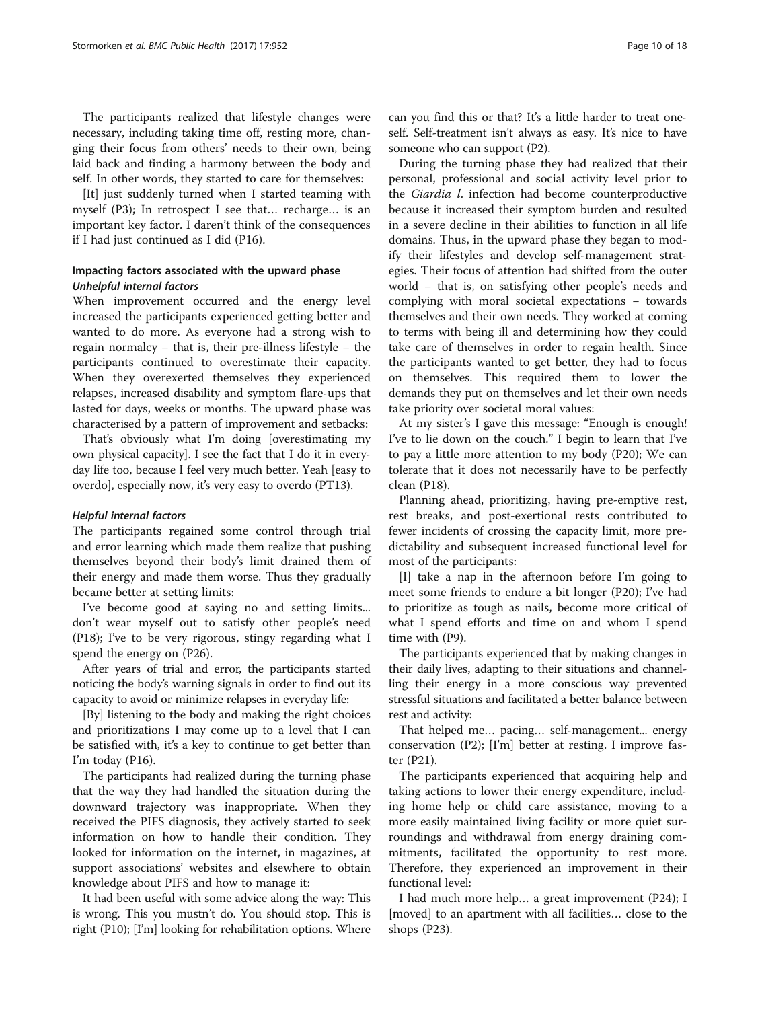The participants realized that lifestyle changes were necessary, including taking time off, resting more, changing their focus from others' needs to their own, being laid back and finding a harmony between the body and self. In other words, they started to care for themselves:

[It] just suddenly turned when I started teaming with myself (P3); In retrospect I see that… recharge… is an important key factor. I daren't think of the consequences if I had just continued as I did (P16).

# Impacting factors associated with the upward phase Unhelpful internal factors

When improvement occurred and the energy level increased the participants experienced getting better and wanted to do more. As everyone had a strong wish to regain normalcy − that is, their pre-illness lifestyle − the participants continued to overestimate their capacity. When they overexerted themselves they experienced relapses, increased disability and symptom flare-ups that lasted for days, weeks or months. The upward phase was characterised by a pattern of improvement and setbacks:

That's obviously what I'm doing [overestimating my own physical capacity]. I see the fact that I do it in everyday life too, because I feel very much better. Yeah [easy to overdo], especially now, it's very easy to overdo (PT13).

#### Helpful internal factors

The participants regained some control through trial and error learning which made them realize that pushing themselves beyond their body's limit drained them of their energy and made them worse. Thus they gradually became better at setting limits:

I've become good at saying no and setting limits... don't wear myself out to satisfy other people's need (P18); I've to be very rigorous, stingy regarding what I spend the energy on (P26).

After years of trial and error, the participants started noticing the body's warning signals in order to find out its capacity to avoid or minimize relapses in everyday life:

[By] listening to the body and making the right choices and prioritizations I may come up to a level that I can be satisfied with, it's a key to continue to get better than I'm today (P16).

The participants had realized during the turning phase that the way they had handled the situation during the downward trajectory was inappropriate. When they received the PIFS diagnosis, they actively started to seek information on how to handle their condition. They looked for information on the internet, in magazines, at support associations' websites and elsewhere to obtain knowledge about PIFS and how to manage it:

It had been useful with some advice along the way: This is wrong. This you mustn't do. You should stop. This is right (P10); [I'm] looking for rehabilitation options. Where can you find this or that? It's a little harder to treat oneself. Self-treatment isn't always as easy. It's nice to have someone who can support (P2).

During the turning phase they had realized that their personal, professional and social activity level prior to the Giardia l. infection had become counterproductive because it increased their symptom burden and resulted in a severe decline in their abilities to function in all life domains. Thus, in the upward phase they began to modify their lifestyles and develop self-management strategies. Their focus of attention had shifted from the outer world − that is, on satisfying other people's needs and complying with moral societal expectations − towards themselves and their own needs. They worked at coming to terms with being ill and determining how they could take care of themselves in order to regain health. Since the participants wanted to get better, they had to focus on themselves. This required them to lower the demands they put on themselves and let their own needs take priority over societal moral values:

At my sister's I gave this message: "Enough is enough! I've to lie down on the couch." I begin to learn that I've to pay a little more attention to my body (P20); We can tolerate that it does not necessarily have to be perfectly clean (P18).

Planning ahead, prioritizing, having pre-emptive rest, rest breaks, and post-exertional rests contributed to fewer incidents of crossing the capacity limit, more predictability and subsequent increased functional level for most of the participants:

[I] take a nap in the afternoon before I'm going to meet some friends to endure a bit longer (P20); I've had to prioritize as tough as nails, become more critical of what I spend efforts and time on and whom I spend time with (P9).

The participants experienced that by making changes in their daily lives, adapting to their situations and channelling their energy in a more conscious way prevented stressful situations and facilitated a better balance between rest and activity:

That helped me… pacing… self-management... energy conservation (P2); [I'm] better at resting. I improve faster (P21).

The participants experienced that acquiring help and taking actions to lower their energy expenditure, including home help or child care assistance, moving to a more easily maintained living facility or more quiet surroundings and withdrawal from energy draining commitments, facilitated the opportunity to rest more. Therefore, they experienced an improvement in their functional level:

I had much more help… a great improvement (P24); I [moved] to an apartment with all facilities… close to the shops (P23).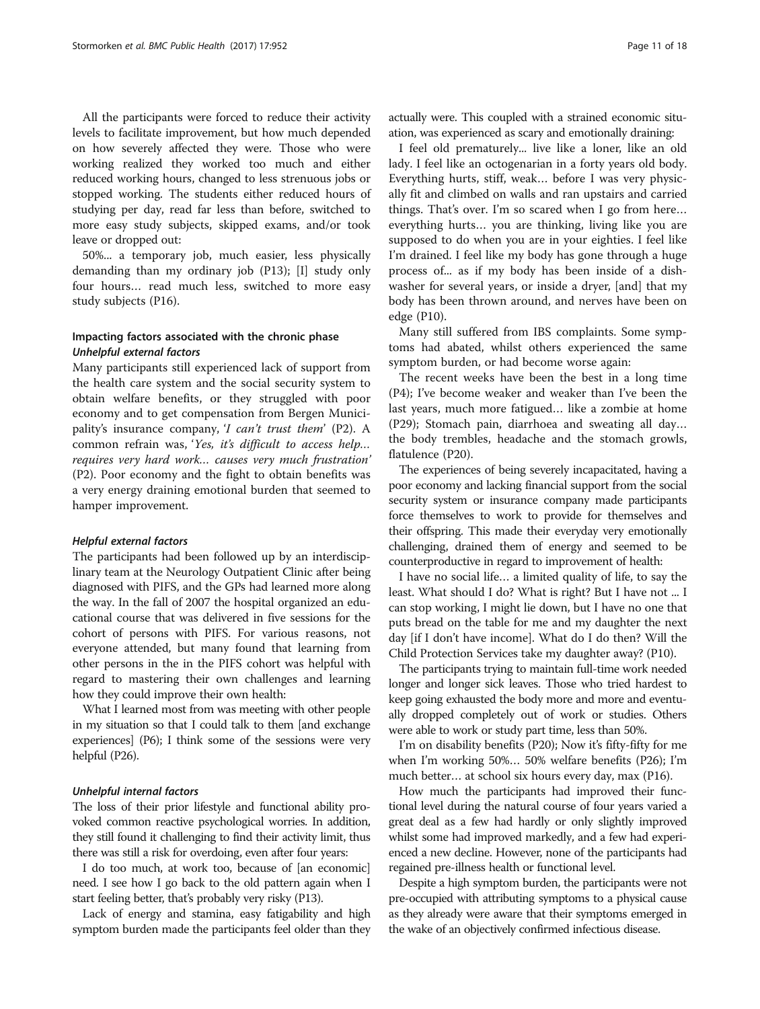All the participants were forced to reduce their activity levels to facilitate improvement, but how much depended on how severely affected they were. Those who were working realized they worked too much and either reduced working hours, changed to less strenuous jobs or stopped working. The students either reduced hours of studying per day, read far less than before, switched to more easy study subjects, skipped exams, and/or took leave or dropped out:

50%... a temporary job, much easier, less physically demanding than my ordinary job (P13); [I] study only four hours… read much less, switched to more easy study subjects (P16).

# Impacting factors associated with the chronic phase Unhelpful external factors

Many participants still experienced lack of support from the health care system and the social security system to obtain welfare benefits, or they struggled with poor economy and to get compensation from Bergen Municipality's insurance company, 'I can't trust them' (P2). A common refrain was, 'Yes, it's difficult to access help… requires very hard work… causes very much frustration' (P2). Poor economy and the fight to obtain benefits was a very energy draining emotional burden that seemed to hamper improvement.

#### Helpful external factors

The participants had been followed up by an interdisciplinary team at the Neurology Outpatient Clinic after being diagnosed with PIFS, and the GPs had learned more along the way. In the fall of 2007 the hospital organized an educational course that was delivered in five sessions for the cohort of persons with PIFS. For various reasons, not everyone attended, but many found that learning from other persons in the in the PIFS cohort was helpful with regard to mastering their own challenges and learning how they could improve their own health:

What I learned most from was meeting with other people in my situation so that I could talk to them [and exchange experiences] (P6); I think some of the sessions were very helpful (P26).

#### Unhelpful internal factors

The loss of their prior lifestyle and functional ability provoked common reactive psychological worries. In addition, they still found it challenging to find their activity limit, thus there was still a risk for overdoing, even after four years:

I do too much, at work too, because of [an economic] need. I see how I go back to the old pattern again when I start feeling better, that's probably very risky (P13).

Lack of energy and stamina, easy fatigability and high symptom burden made the participants feel older than they actually were. This coupled with a strained economic situation, was experienced as scary and emotionally draining:

I feel old prematurely... live like a loner, like an old lady. I feel like an octogenarian in a forty years old body. Everything hurts, stiff, weak… before I was very physically fit and climbed on walls and ran upstairs and carried things. That's over. I'm so scared when I go from here… everything hurts… you are thinking, living like you are supposed to do when you are in your eighties. I feel like I'm drained. I feel like my body has gone through a huge process of... as if my body has been inside of a dishwasher for several years, or inside a dryer, [and] that my body has been thrown around, and nerves have been on edge (P10).

Many still suffered from IBS complaints. Some symptoms had abated, whilst others experienced the same symptom burden, or had become worse again:

The recent weeks have been the best in a long time (P4); I've become weaker and weaker than I've been the last years, much more fatigued… like a zombie at home (P29); Stomach pain, diarrhoea and sweating all day… the body trembles, headache and the stomach growls, flatulence (P20).

The experiences of being severely incapacitated, having a poor economy and lacking financial support from the social security system or insurance company made participants force themselves to work to provide for themselves and their offspring. This made their everyday very emotionally challenging, drained them of energy and seemed to be counterproductive in regard to improvement of health:

I have no social life… a limited quality of life, to say the least. What should I do? What is right? But I have not ... I can stop working, I might lie down, but I have no one that puts bread on the table for me and my daughter the next day [if I don't have income]. What do I do then? Will the Child Protection Services take my daughter away? (P10).

The participants trying to maintain full-time work needed longer and longer sick leaves. Those who tried hardest to keep going exhausted the body more and more and eventually dropped completely out of work or studies. Others were able to work or study part time, less than 50%.

I'm on disability benefits (P20); Now it's fifty-fifty for me when I'm working 50%… 50% welfare benefits (P26); I'm much better… at school six hours every day, max (P16).

How much the participants had improved their functional level during the natural course of four years varied a great deal as a few had hardly or only slightly improved whilst some had improved markedly, and a few had experienced a new decline. However, none of the participants had regained pre-illness health or functional level.

Despite a high symptom burden, the participants were not pre-occupied with attributing symptoms to a physical cause as they already were aware that their symptoms emerged in the wake of an objectively confirmed infectious disease.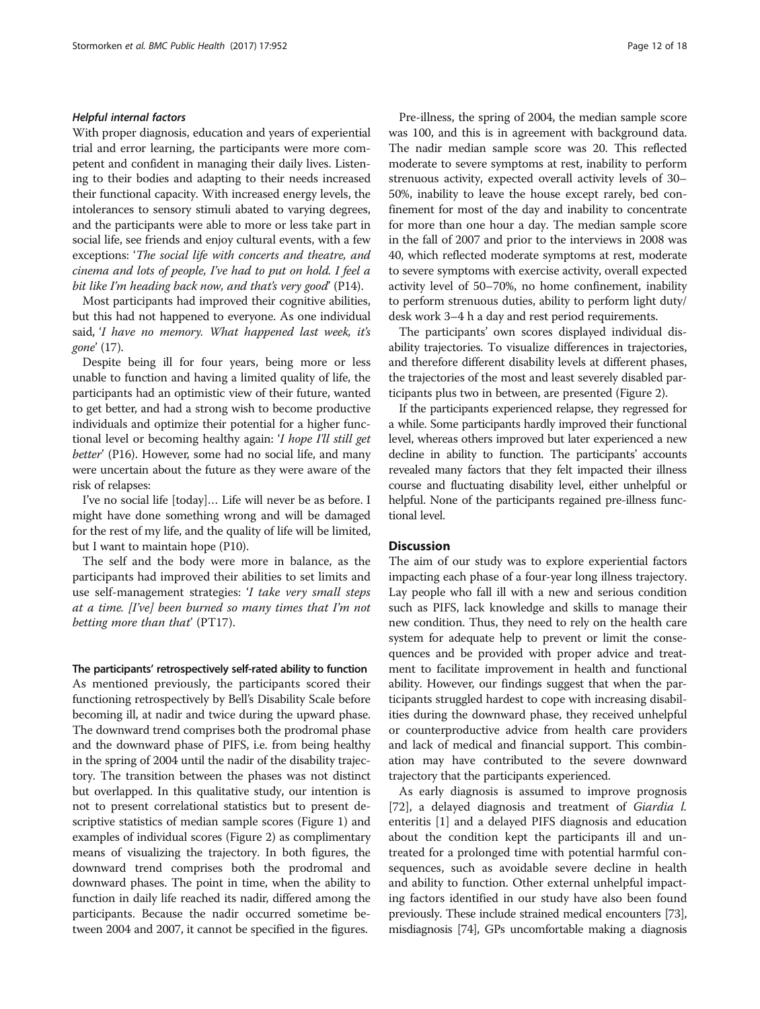## Helpful internal factors

With proper diagnosis, education and years of experiential trial and error learning, the participants were more competent and confident in managing their daily lives. Listening to their bodies and adapting to their needs increased their functional capacity. With increased energy levels, the intolerances to sensory stimuli abated to varying degrees, and the participants were able to more or less take part in social life, see friends and enjoy cultural events, with a few exceptions: 'The social life with concerts and theatre, and cinema and lots of people, I've had to put on hold. I feel a bit like I'm heading back now, and that's very good' (P14).

Most participants had improved their cognitive abilities, but this had not happened to everyone. As one individual said, 'I have no memory. What happened last week, it's gone' (17).

Despite being ill for four years, being more or less unable to function and having a limited quality of life, the participants had an optimistic view of their future, wanted to get better, and had a strong wish to become productive individuals and optimize their potential for a higher functional level or becoming healthy again: 'I hope I'll still get better' (P16). However, some had no social life, and many were uncertain about the future as they were aware of the risk of relapses:

I've no social life [today]… Life will never be as before. I might have done something wrong and will be damaged for the rest of my life, and the quality of life will be limited, but I want to maintain hope (P10).

The self and the body were more in balance, as the participants had improved their abilities to set limits and use self-management strategies: 'I take very small steps at a time. [I've] been burned so many times that I'm not betting more than that' (PT17).

The participants' retrospectively self-rated ability to function As mentioned previously, the participants scored their functioning retrospectively by Bell's Disability Scale before becoming ill, at nadir and twice during the upward phase. The downward trend comprises both the prodromal phase and the downward phase of PIFS, i.e. from being healthy in the spring of 2004 until the nadir of the disability trajectory. The transition between the phases was not distinct but overlapped. In this qualitative study, our intention is not to present correlational statistics but to present descriptive statistics of median sample scores (Figure [1](#page-12-0)) and examples of individual scores (Figure [2](#page-12-0)) as complimentary means of visualizing the trajectory. In both figures, the downward trend comprises both the prodromal and downward phases. The point in time, when the ability to function in daily life reached its nadir, differed among the participants. Because the nadir occurred sometime between 2004 and 2007, it cannot be specified in the figures.

Pre-illness, the spring of 2004, the median sample score was 100, and this is in agreement with background data. The nadir median sample score was 20. This reflected moderate to severe symptoms at rest, inability to perform strenuous activity, expected overall activity levels of 30– 50%, inability to leave the house except rarely, bed confinement for most of the day and inability to concentrate for more than one hour a day. The median sample score in the fall of 2007 and prior to the interviews in 2008 was 40, which reflected moderate symptoms at rest, moderate to severe symptoms with exercise activity, overall expected activity level of 50–70%, no home confinement, inability to perform strenuous duties, ability to perform light duty/ desk work 3–4 h a day and rest period requirements.

The participants' own scores displayed individual disability trajectories. To visualize differences in trajectories, and therefore different disability levels at different phases, the trajectories of the most and least severely disabled participants plus two in between, are presented (Figure [2](#page-12-0)).

If the participants experienced relapse, they regressed for a while. Some participants hardly improved their functional level, whereas others improved but later experienced a new decline in ability to function. The participants' accounts revealed many factors that they felt impacted their illness course and fluctuating disability level, either unhelpful or helpful. None of the participants regained pre-illness functional level.

# Discussion

The aim of our study was to explore experiential factors impacting each phase of a four-year long illness trajectory. Lay people who fall ill with a new and serious condition such as PIFS, lack knowledge and skills to manage their new condition. Thus, they need to rely on the health care system for adequate help to prevent or limit the consequences and be provided with proper advice and treatment to facilitate improvement in health and functional ability. However, our findings suggest that when the participants struggled hardest to cope with increasing disabilities during the downward phase, they received unhelpful or counterproductive advice from health care providers and lack of medical and financial support. This combination may have contributed to the severe downward trajectory that the participants experienced.

As early diagnosis is assumed to improve prognosis [[72\]](#page-16-0), a delayed diagnosis and treatment of Giardia l. enteritis [[1](#page-15-0)] and a delayed PIFS diagnosis and education about the condition kept the participants ill and untreated for a prolonged time with potential harmful consequences, such as avoidable severe decline in health and ability to function. Other external unhelpful impacting factors identified in our study have also been found previously. These include strained medical encounters [\[73](#page-16-0)], misdiagnosis [[74\]](#page-16-0), GPs uncomfortable making a diagnosis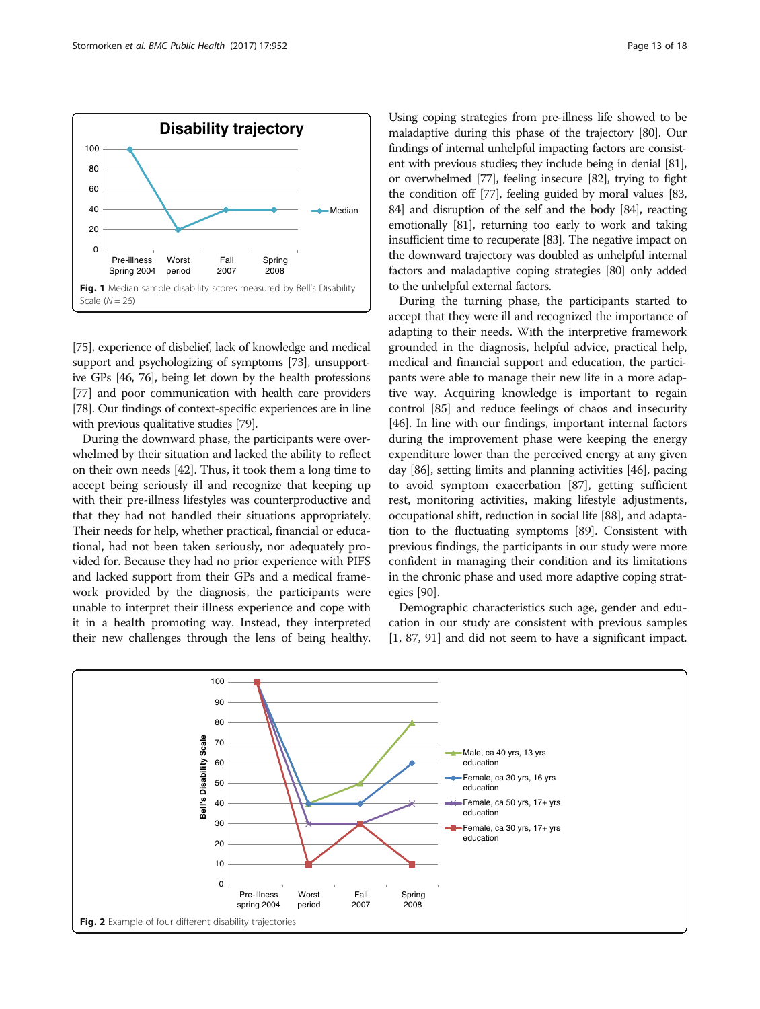<span id="page-12-0"></span>

[[75](#page-17-0)], experience of disbelief, lack of knowledge and medical support and psychologizing of symptoms [[73\]](#page-16-0), unsupportive GPs [[46](#page-16-0), [76](#page-17-0)], being let down by the health professions [[77](#page-17-0)] and poor communication with health care providers [[78](#page-17-0)]. Our findings of context-specific experiences are in line with previous qualitative studies [[79](#page-17-0)].

During the downward phase, the participants were overwhelmed by their situation and lacked the ability to reflect on their own needs [\[42](#page-16-0)]. Thus, it took them a long time to accept being seriously ill and recognize that keeping up with their pre-illness lifestyles was counterproductive and that they had not handled their situations appropriately. Their needs for help, whether practical, financial or educational, had not been taken seriously, nor adequately provided for. Because they had no prior experience with PIFS and lacked support from their GPs and a medical framework provided by the diagnosis, the participants were unable to interpret their illness experience and cope with it in a health promoting way. Instead, they interpreted their new challenges through the lens of being healthy.

Using coping strategies from pre-illness life showed to be maladaptive during this phase of the trajectory [[80](#page-17-0)]. Our findings of internal unhelpful impacting factors are consistent with previous studies; they include being in denial [\[81](#page-17-0)], or overwhelmed [[77\]](#page-17-0), feeling insecure [[82](#page-17-0)], trying to fight the condition off [\[77\]](#page-17-0), feeling guided by moral values [\[83](#page-17-0), [84](#page-17-0)] and disruption of the self and the body [\[84](#page-17-0)], reacting emotionally [\[81](#page-17-0)], returning too early to work and taking insufficient time to recuperate [\[83\]](#page-17-0). The negative impact on the downward trajectory was doubled as unhelpful internal factors and maladaptive coping strategies [[80](#page-17-0)] only added to the unhelpful external factors.

During the turning phase, the participants started to accept that they were ill and recognized the importance of adapting to their needs. With the interpretive framework grounded in the diagnosis, helpful advice, practical help, medical and financial support and education, the participants were able to manage their new life in a more adaptive way. Acquiring knowledge is important to regain control [[85](#page-17-0)] and reduce feelings of chaos and insecurity [[46](#page-16-0)]. In line with our findings, important internal factors during the improvement phase were keeping the energy expenditure lower than the perceived energy at any given day [[86](#page-17-0)], setting limits and planning activities [\[46](#page-16-0)], pacing to avoid symptom exacerbation [\[87\]](#page-17-0), getting sufficient rest, monitoring activities, making lifestyle adjustments, occupational shift, reduction in social life [\[88\]](#page-17-0), and adaptation to the fluctuating symptoms [[89](#page-17-0)]. Consistent with previous findings, the participants in our study were more confident in managing their condition and its limitations in the chronic phase and used more adaptive coping strategies [[90](#page-17-0)].

Demographic characteristics such age, gender and education in our study are consistent with previous samples [[1,](#page-15-0) [87, 91\]](#page-17-0) and did not seem to have a significant impact.

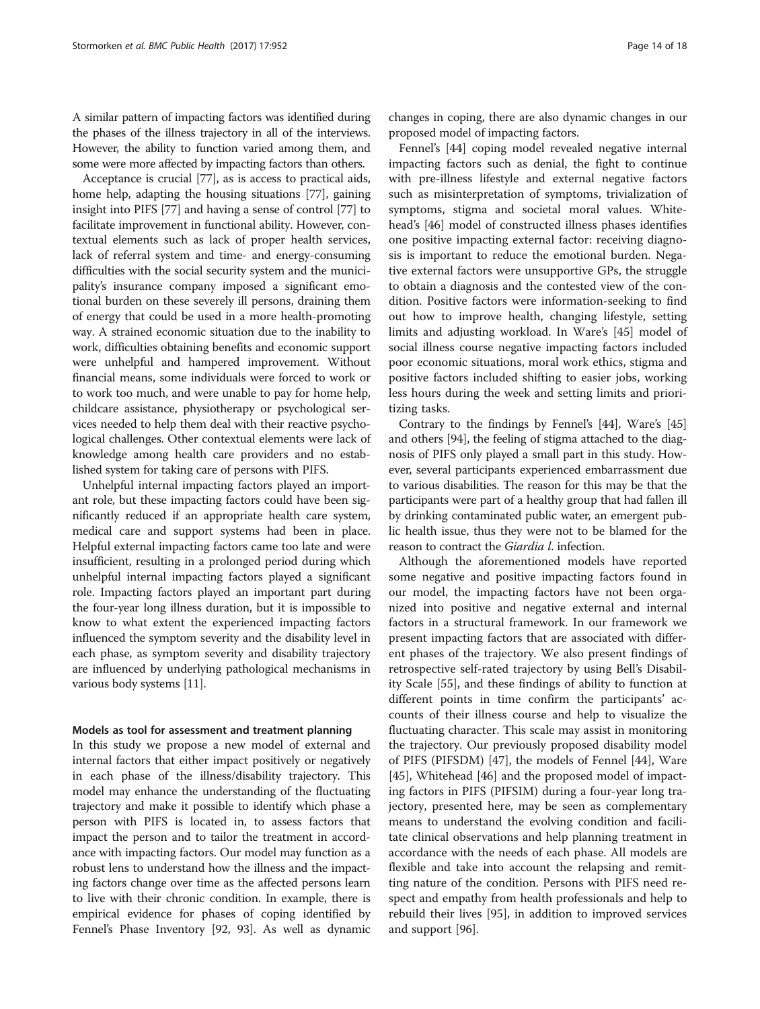A similar pattern of impacting factors was identified during the phases of the illness trajectory in all of the interviews. However, the ability to function varied among them, and some were more affected by impacting factors than others.

Acceptance is crucial [[77](#page-17-0)], as is access to practical aids, home help, adapting the housing situations [[77](#page-17-0)], gaining insight into PIFS [\[77\]](#page-17-0) and having a sense of control [\[77\]](#page-17-0) to facilitate improvement in functional ability. However, contextual elements such as lack of proper health services, lack of referral system and time- and energy-consuming difficulties with the social security system and the municipality's insurance company imposed a significant emotional burden on these severely ill persons, draining them of energy that could be used in a more health-promoting way. A strained economic situation due to the inability to work, difficulties obtaining benefits and economic support were unhelpful and hampered improvement. Without financial means, some individuals were forced to work or to work too much, and were unable to pay for home help, childcare assistance, physiotherapy or psychological services needed to help them deal with their reactive psychological challenges. Other contextual elements were lack of knowledge among health care providers and no established system for taking care of persons with PIFS.

Unhelpful internal impacting factors played an important role, but these impacting factors could have been significantly reduced if an appropriate health care system, medical care and support systems had been in place. Helpful external impacting factors came too late and were insufficient, resulting in a prolonged period during which unhelpful internal impacting factors played a significant role. Impacting factors played an important part during the four-year long illness duration, but it is impossible to know to what extent the experienced impacting factors influenced the symptom severity and the disability level in each phase, as symptom severity and disability trajectory are influenced by underlying pathological mechanisms in various body systems [[11](#page-15-0)].

#### Models as tool for assessment and treatment planning

In this study we propose a new model of external and internal factors that either impact positively or negatively in each phase of the illness/disability trajectory. This model may enhance the understanding of the fluctuating trajectory and make it possible to identify which phase a person with PIFS is located in, to assess factors that impact the person and to tailor the treatment in accordance with impacting factors. Our model may function as a robust lens to understand how the illness and the impacting factors change over time as the affected persons learn to live with their chronic condition. In example, there is empirical evidence for phases of coping identified by Fennel's Phase Inventory [[92, 93\]](#page-17-0). As well as dynamic changes in coping, there are also dynamic changes in our proposed model of impacting factors.

Fennel's [[44](#page-16-0)] coping model revealed negative internal impacting factors such as denial, the fight to continue with pre-illness lifestyle and external negative factors such as misinterpretation of symptoms, trivialization of symptoms, stigma and societal moral values. Whitehead's [[46](#page-16-0)] model of constructed illness phases identifies one positive impacting external factor: receiving diagnosis is important to reduce the emotional burden. Negative external factors were unsupportive GPs, the struggle to obtain a diagnosis and the contested view of the condition. Positive factors were information-seeking to find out how to improve health, changing lifestyle, setting limits and adjusting workload. In Ware's [[45\]](#page-16-0) model of social illness course negative impacting factors included poor economic situations, moral work ethics, stigma and positive factors included shifting to easier jobs, working less hours during the week and setting limits and prioritizing tasks.

Contrary to the findings by Fennel's [\[44\]](#page-16-0), Ware's [[45](#page-16-0)] and others [\[94\]](#page-17-0), the feeling of stigma attached to the diagnosis of PIFS only played a small part in this study. However, several participants experienced embarrassment due to various disabilities. The reason for this may be that the participants were part of a healthy group that had fallen ill by drinking contaminated public water, an emergent public health issue, thus they were not to be blamed for the reason to contract the Giardia l. infection.

Although the aforementioned models have reported some negative and positive impacting factors found in our model, the impacting factors have not been organized into positive and negative external and internal factors in a structural framework. In our framework we present impacting factors that are associated with different phases of the trajectory. We also present findings of retrospective self-rated trajectory by using Bell's Disability Scale [\[55](#page-16-0)], and these findings of ability to function at different points in time confirm the participants' accounts of their illness course and help to visualize the fluctuating character. This scale may assist in monitoring the trajectory. Our previously proposed disability model of PIFS (PIFSDM) [[47\]](#page-16-0), the models of Fennel [[44\]](#page-16-0), Ware [[45\]](#page-16-0), Whitehead [[46\]](#page-16-0) and the proposed model of impacting factors in PIFS (PIFSIM) during a four-year long trajectory, presented here, may be seen as complementary means to understand the evolving condition and facilitate clinical observations and help planning treatment in accordance with the needs of each phase. All models are flexible and take into account the relapsing and remitting nature of the condition. Persons with PIFS need respect and empathy from health professionals and help to rebuild their lives [[95](#page-17-0)], in addition to improved services and support [\[96](#page-17-0)].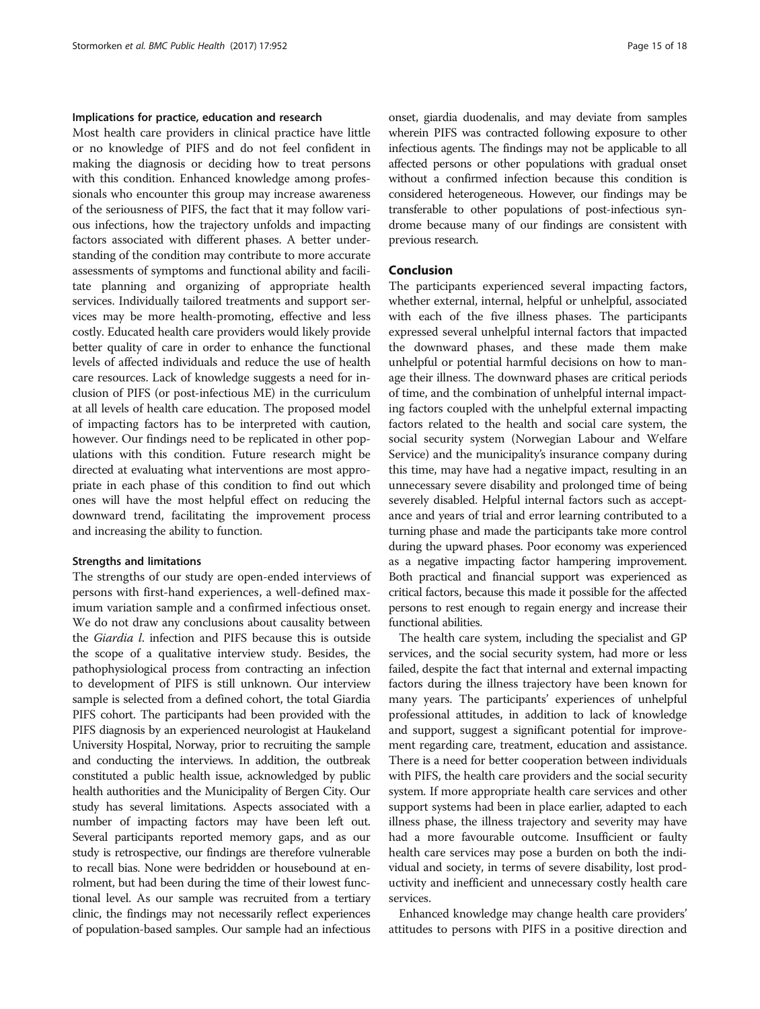#### Implications for practice, education and research

Most health care providers in clinical practice have little or no knowledge of PIFS and do not feel confident in making the diagnosis or deciding how to treat persons with this condition. Enhanced knowledge among professionals who encounter this group may increase awareness of the seriousness of PIFS, the fact that it may follow various infections, how the trajectory unfolds and impacting factors associated with different phases. A better understanding of the condition may contribute to more accurate assessments of symptoms and functional ability and facilitate planning and organizing of appropriate health services. Individually tailored treatments and support services may be more health-promoting, effective and less costly. Educated health care providers would likely provide better quality of care in order to enhance the functional levels of affected individuals and reduce the use of health care resources. Lack of knowledge suggests a need for inclusion of PIFS (or post-infectious ME) in the curriculum at all levels of health care education. The proposed model of impacting factors has to be interpreted with caution, however. Our findings need to be replicated in other populations with this condition. Future research might be directed at evaluating what interventions are most appropriate in each phase of this condition to find out which ones will have the most helpful effect on reducing the downward trend, facilitating the improvement process and increasing the ability to function.

#### Strengths and limitations

The strengths of our study are open-ended interviews of persons with first-hand experiences, a well-defined maximum variation sample and a confirmed infectious onset. We do not draw any conclusions about causality between the Giardia l. infection and PIFS because this is outside the scope of a qualitative interview study. Besides, the pathophysiological process from contracting an infection to development of PIFS is still unknown. Our interview sample is selected from a defined cohort, the total Giardia PIFS cohort. The participants had been provided with the PIFS diagnosis by an experienced neurologist at Haukeland University Hospital, Norway, prior to recruiting the sample and conducting the interviews. In addition, the outbreak constituted a public health issue, acknowledged by public health authorities and the Municipality of Bergen City. Our study has several limitations. Aspects associated with a number of impacting factors may have been left out. Several participants reported memory gaps, and as our study is retrospective, our findings are therefore vulnerable to recall bias. None were bedridden or housebound at enrolment, but had been during the time of their lowest functional level. As our sample was recruited from a tertiary clinic, the findings may not necessarily reflect experiences of population-based samples. Our sample had an infectious onset, giardia duodenalis, and may deviate from samples wherein PIFS was contracted following exposure to other infectious agents. The findings may not be applicable to all affected persons or other populations with gradual onset without a confirmed infection because this condition is considered heterogeneous. However, our findings may be transferable to other populations of post-infectious syndrome because many of our findings are consistent with previous research.

# Conclusion

The participants experienced several impacting factors, whether external, internal, helpful or unhelpful, associated with each of the five illness phases. The participants expressed several unhelpful internal factors that impacted the downward phases, and these made them make unhelpful or potential harmful decisions on how to manage their illness. The downward phases are critical periods of time, and the combination of unhelpful internal impacting factors coupled with the unhelpful external impacting factors related to the health and social care system, the social security system (Norwegian Labour and Welfare Service) and the municipality's insurance company during this time, may have had a negative impact, resulting in an unnecessary severe disability and prolonged time of being severely disabled. Helpful internal factors such as acceptance and years of trial and error learning contributed to a turning phase and made the participants take more control during the upward phases. Poor economy was experienced as a negative impacting factor hampering improvement. Both practical and financial support was experienced as critical factors, because this made it possible for the affected persons to rest enough to regain energy and increase their functional abilities.

The health care system, including the specialist and GP services, and the social security system, had more or less failed, despite the fact that internal and external impacting factors during the illness trajectory have been known for many years. The participants' experiences of unhelpful professional attitudes, in addition to lack of knowledge and support, suggest a significant potential for improvement regarding care, treatment, education and assistance. There is a need for better cooperation between individuals with PIFS, the health care providers and the social security system. If more appropriate health care services and other support systems had been in place earlier, adapted to each illness phase, the illness trajectory and severity may have had a more favourable outcome. Insufficient or faulty health care services may pose a burden on both the individual and society, in terms of severe disability, lost productivity and inefficient and unnecessary costly health care services.

Enhanced knowledge may change health care providers' attitudes to persons with PIFS in a positive direction and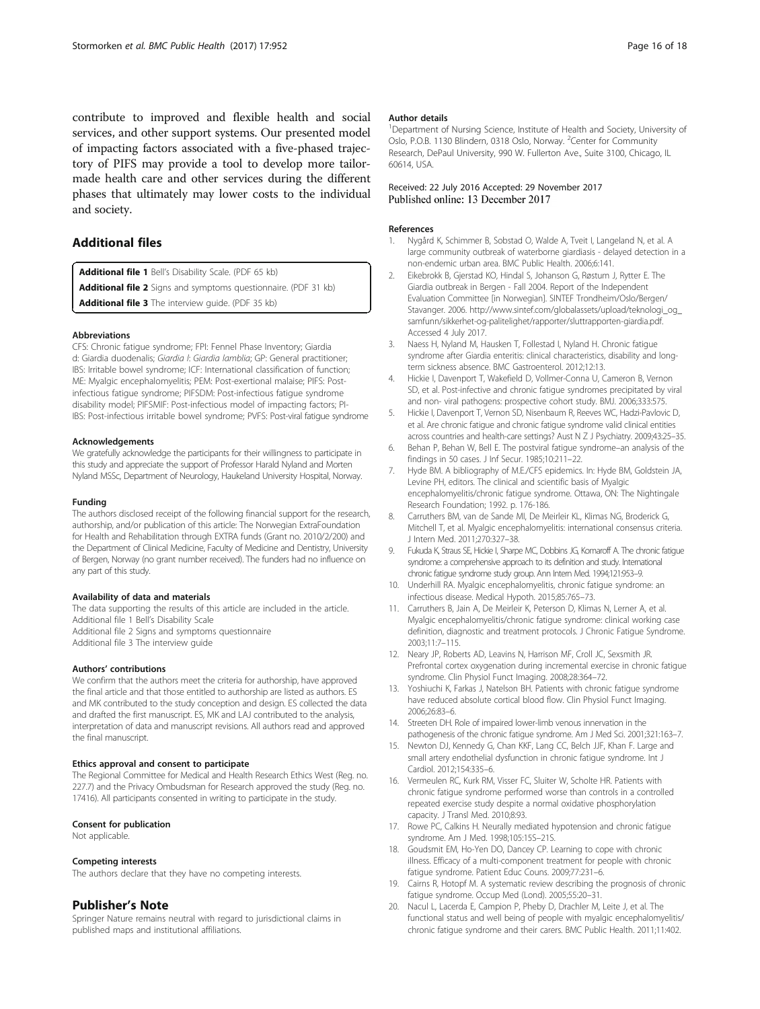<span id="page-15-0"></span>contribute to improved and flexible health and social services, and other support systems. Our presented model of impacting factors associated with a five-phased trajectory of PIFS may provide a tool to develop more tailormade health care and other services during the different phases that ultimately may lower costs to the individual and society.

# Additional files

[Additional file 1](dx.doi.org/10.1186/s12889-017-4968-2) Bell's Disability Scale. (PDF 65 kb) [Additional file 2](dx.doi.org/10.1186/s12889-017-4968-2) Signs and symptoms questionnaire. (PDF 31 kb) [Additional file 3](dx.doi.org/10.1186/s12889-017-4968-2) The interview quide. (PDF 35 kb)

#### Abbreviations

CFS: Chronic fatigue syndrome; FPI: Fennel Phase Inventory; Giardia d: Giardia duodenalis; Giardia I: Giardia lamblia; GP: General practitioner; IBS: Irritable bowel syndrome; ICF: International classification of function; ME: Myalgic encephalomyelitis; PEM: Post-exertional malaise; PIFS: Postinfectious fatigue syndrome; PIFSDM: Post-infectious fatigue syndrome disability model; PIFSMIF: Post-infectious model of impacting factors; PI-IBS: Post-infectious irritable bowel syndrome; PVFS: Post-viral fatigue syndrome

#### Acknowledgements

We gratefully acknowledge the participants for their willingness to participate in this study and appreciate the support of Professor Harald Nyland and Morten Nyland MSSc, Department of Neurology, Haukeland University Hospital, Norway.

#### Funding

The authors disclosed receipt of the following financial support for the research, authorship, and/or publication of this article: The Norwegian ExtraFoundation for Health and Rehabilitation through EXTRA funds (Grant no. 2010/2/200) and the Department of Clinical Medicine, Faculty of Medicine and Dentistry, University of Bergen, Norway (no grant number received). The funders had no influence on any part of this study.

#### Availability of data and materials

The data supporting the results of this article are included in the article. Additional file 1 Bell's Disability Scale Additional file 2 Signs and symptoms questionnaire Additional file 3 The interview guide

#### Authors' contributions

We confirm that the authors meet the criteria for authorship, have approved the final article and that those entitled to authorship are listed as authors. ES and MK contributed to the study conception and design. ES collected the data and drafted the first manuscript. ES, MK and LAJ contributed to the analysis, interpretation of data and manuscript revisions. All authors read and approved the final manuscript.

#### Ethics approval and consent to participate

The Regional Committee for Medical and Health Research Ethics West (Reg. no. 227.7) and the Privacy Ombudsman for Research approved the study (Reg. no. 17416). All participants consented in writing to participate in the study.

#### Consent for publication

Not applicable.

#### Competing interests

The authors declare that they have no competing interests.

#### Publisher's Note

Springer Nature remains neutral with regard to jurisdictional claims in published maps and institutional affiliations.

#### Author details

<sup>1</sup>Department of Nursing Science, Institute of Health and Society, University of Oslo, P.O.B. 1130 Blindern, 0318 Oslo, Norway. <sup>2</sup> Center for Community Research, DePaul University, 990 W. Fullerton Ave., Suite 3100, Chicago, IL 60614, USA.

# Received: 22 July 2016 Accepted: 29 November 2017 Published online: 13 December 2017

#### References

- 1. Nygård K, Schimmer B, Sobstad O, Walde A, Tveit I, Langeland N, et al. A large community outbreak of waterborne giardiasis - delayed detection in a non-endemic urban area. BMC Public Health. 2006;6:141.
- 2. Eikebrokk B, Gjerstad KO, Hindal S, Johanson G, Røstum J, Rytter E. The Giardia outbreak in Bergen - Fall 2004. Report of the Independent Evaluation Committee [in Norwegian]. SINTEF Trondheim/Oslo/Bergen/ Stavanger. 2006. [http://www.sintef.com/globalassets/upload/teknologi\\_og\\_](http://www.sintef.com/globalassets/upload/teknologi_og_samfunn/sikkerhet-og-palitelighet/rapporter/sluttrapporten-giardia.pdf) [samfunn/sikkerhet-og-palitelighet/rapporter/sluttrapporten-giardia.pdf.](http://www.sintef.com/globalassets/upload/teknologi_og_samfunn/sikkerhet-og-palitelighet/rapporter/sluttrapporten-giardia.pdf) Accessed 4 July 2017.
- 3. Naess H, Nyland M, Hausken T, Follestad I, Nyland H. Chronic fatigue syndrome after Giardia enteritis: clinical characteristics, disability and longterm sickness absence. BMC Gastroenterol. 2012;12:13.
- 4. Hickie I, Davenport T, Wakefield D, Vollmer-Conna U, Cameron B, Vernon SD, et al. Post-infective and chronic fatigue syndromes precipitated by viral and non- viral pathogens: prospective cohort study. BMJ. 2006;333:575.
- 5. Hickie I, Davenport T, Vernon SD, Nisenbaum R, Reeves WC, Hadzi-Pavlovic D, et al. Are chronic fatigue and chronic fatigue syndrome valid clinical entities across countries and health-care settings? Aust N Z J Psychiatry. 2009;43:25–35.
- 6. Behan P, Behan W, Bell E. The postviral fatigue syndrome–an analysis of the findings in 50 cases. J Inf Secur. 1985;10:211–22.
- 7. Hyde BM. A bibliography of M.E./CFS epidemics. In: Hyde BM, Goldstein JA, Levine PH, editors. The clinical and scientific basis of Myalgic encephalomyelitis/chronic fatigue syndrome. Ottawa, ON: The Nightingale Research Foundation; 1992. p. 176-186.
- Carruthers BM, van de Sande MI, De Meirleir KL, Klimas NG, Broderick G, Mitchell T, et al. Myalgic encephalomyelitis: international consensus criteria. J Intern Med. 2011;270:327–38.
- 9. Fukuda K, Straus SE, Hickie I, Sharpe MC, Dobbins JG, Komaroff A. The chronic fatigue syndrome: a comprehensive approach to its definition and study. International chronic fatigue syndrome study group. Ann Intern Med. 1994;121:953–9.
- 10. Underhill RA. Myalgic encephalomyelitis, chronic fatigue syndrome: an infectious disease. Medical Hypoth. 2015;85:765–73.
- 11. Carruthers B, Jain A, De Meirleir K, Peterson D, Klimas N, Lerner A, et al. Myalgic encephalomyelitis/chronic fatigue syndrome: clinical working case definition, diagnostic and treatment protocols. J Chronic Fatigue Syndrome. 2003;11:7–115.
- 12. Neary JP, Roberts AD, Leavins N, Harrison MF, Croll JC, Sexsmith JR. Prefrontal cortex oxygenation during incremental exercise in chronic fatigue syndrome. Clin Physiol Funct Imaging. 2008;28:364–72.
- 13. Yoshiuchi K, Farkas J, Natelson BH. Patients with chronic fatigue syndrome have reduced absolute cortical blood flow. Clin Physiol Funct Imaging. 2006;26:83–6.
- 14. Streeten DH. Role of impaired lower-limb venous innervation in the pathogenesis of the chronic fatigue syndrome. Am J Med Sci. 2001;321:163–7.
- 15. Newton DJ, Kennedy G, Chan KKF, Lang CC, Belch JJF, Khan F. Large and small artery endothelial dysfunction in chronic fatigue syndrome. Int J Cardiol. 2012;154:335–6.
- 16. Vermeulen RC, Kurk RM, Visser FC, Sluiter W, Scholte HR. Patients with chronic fatigue syndrome performed worse than controls in a controlled repeated exercise study despite a normal oxidative phosphorylation capacity. J Transl Med. 2010;8:93.
- 17. Rowe PC, Calkins H. Neurally mediated hypotension and chronic fatigue syndrome. Am J Med. 1998;105:15S–21S.
- 18. Goudsmit EM, Ho-Yen DO, Dancey CP. Learning to cope with chronic illness. Efficacy of a multi-component treatment for people with chronic fatigue syndrome. Patient Educ Couns. 2009;77:231–6.
- 19. Cairns R, Hotopf M. A systematic review describing the prognosis of chronic fatigue syndrome. Occup Med (Lond). 2005;55:20–31.
- 20. Nacul L, Lacerda E, Campion P, Pheby D, Drachler M, Leite J, et al. The functional status and well being of people with myalgic encephalomyelitis/ chronic fatigue syndrome and their carers. BMC Public Health. 2011;11:402.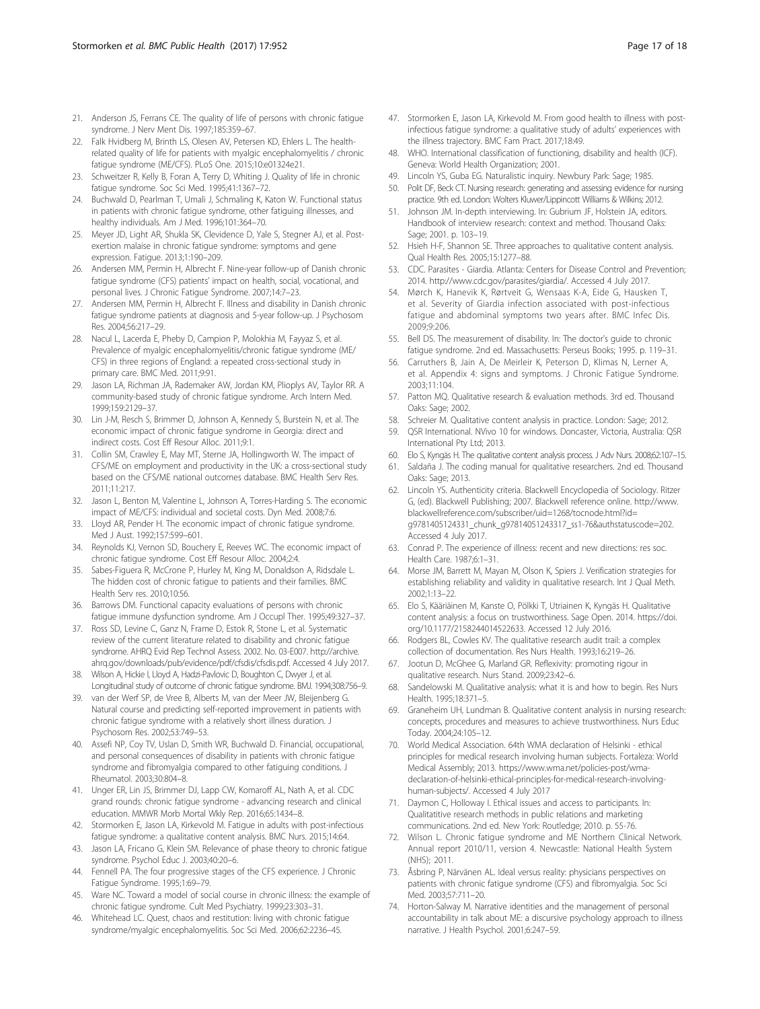- <span id="page-16-0"></span>21. Anderson JS, Ferrans CE. The quality of life of persons with chronic fatigue syndrome. J Nerv Ment Dis. 1997;185:359–67.
- 22. Falk Hvidberg M, Brinth LS, Olesen AV, Petersen KD, Ehlers L. The healthrelated quality of life for patients with myalgic encephalomyelitis / chronic fatigue syndrome (ME/CFS). PLoS One. 2015;10:e01324e21.
- 23. Schweitzer R, Kelly B, Foran A, Terry D, Whiting J. Quality of life in chronic fatigue syndrome. Soc Sci Med. 1995;41:1367–72.
- 24. Buchwald D, Pearlman T, Umali J, Schmaling K, Katon W. Functional status in patients with chronic fatigue syndrome, other fatiguing illnesses, and healthy individuals. Am J Med. 1996;101:364–70.
- 25. Meyer JD, Light AR, Shukla SK, Clevidence D, Yale S, Stegner AJ, et al. Postexertion malaise in chronic fatigue syndrome: symptoms and gene expression. Fatigue. 2013;1:190–209.
- 26. Andersen MM, Permin H, Albrecht F. Nine-year follow-up of Danish chronic fatigue syndrome (CFS) patients' impact on health, social, vocational, and personal lives. J Chronic Fatigue Syndrome. 2007;14:7–23.
- 27. Andersen MM, Permin H, Albrecht F. Illness and disability in Danish chronic fatigue syndrome patients at diagnosis and 5-year follow-up. J Psychosom Res. 2004;56:217–29.
- 28. Nacul L, Lacerda E, Pheby D, Campion P, Molokhia M, Fayyaz S, et al. Prevalence of myalgic encephalomyelitis/chronic fatigue syndrome (ME/ CFS) in three regions of England: a repeated cross-sectional study in primary care. BMC Med. 2011;9:91.
- 29. Jason LA, Richman JA, Rademaker AW, Jordan KM, Plioplys AV, Taylor RR. A community-based study of chronic fatigue syndrome. Arch Intern Med. 1999;159:2129–37.
- 30. Lin J-M, Resch S, Brimmer D, Johnson A, Kennedy S, Burstein N, et al. The economic impact of chronic fatigue syndrome in Georgia: direct and indirect costs. Cost Eff Resour Alloc. 2011;9:1.
- 31. Collin SM, Crawley E, May MT, Sterne JA, Hollingworth W. The impact of CFS/ME on employment and productivity in the UK: a cross-sectional study based on the CFS/ME national outcomes database. BMC Health Serv Res. 2011;11:217.
- 32. Jason L, Benton M, Valentine L, Johnson A, Torres-Harding S. The economic impact of ME/CFS: individual and societal costs. Dyn Med. 2008;7:6.
- 33. Lloyd AR, Pender H. The economic impact of chronic fatigue syndrome. Med J Aust. 1992;157:599–601.
- 34. Reynolds KJ, Vernon SD, Bouchery E, Reeves WC. The economic impact of chronic fatigue syndrome. Cost Eff Resour Alloc. 2004;2:4.
- 35. Sabes-Figuera R, McCrone P, Hurley M, King M, Donaldson A, Ridsdale L. The hidden cost of chronic fatigue to patients and their families. BMC Health Serv res. 2010;10:56.
- 36. Barrows DM. Functional capacity evaluations of persons with chronic fatigue immune dysfunction syndrome. Am J Occupl Ther. 1995;49:327–37.
- 37. Ross SD, Levine C, Ganz N, Frame D, Estok R, Stone L, et al. Systematic review of the current literature related to disability and chronic fatigue syndrome. AHRQ Evid Rep Technol Assess. 2002. No. 03-E007. [http://archive.](http://archive.ahrq.gov/downloads/pub/evidence/pdf/cfsdis/cfsdis.pdf) [ahrq.gov/downloads/pub/evidence/pdf/cfsdis/cfsdis.pdf](http://archive.ahrq.gov/downloads/pub/evidence/pdf/cfsdis/cfsdis.pdf). Accessed 4 July 2017.
- 38. Wilson A, Hickie I, Lloyd A, Hadzi-Pavlovic D, Boughton C, Dwyer J, et al. Longitudinal study of outcome of chronic fatigue syndrome. BMJ. 1994;308:756–9.
- 39. van der Werf SP, de Vree B, Alberts M, van der Meer JW, Bleijenberg G. Natural course and predicting self-reported improvement in patients with chronic fatigue syndrome with a relatively short illness duration. J Psychosom Res. 2002;53:749–53.
- 40. Assefi NP, Coy TV, Uslan D, Smith WR, Buchwald D. Financial, occupational, and personal consequences of disability in patients with chronic fatigue syndrome and fibromyalgia compared to other fatiguing conditions. J Rheumatol. 2003;30:804–8.
- 41. Unger ER, Lin JS, Brimmer DJ, Lapp CW, Komaroff AL, Nath A, et al. CDC grand rounds: chronic fatigue syndrome - advancing research and clinical education. MMWR Morb Mortal Wkly Rep. 2016;65:1434–8.
- 42. Stormorken E, Jason LA, Kirkevold M. Fatigue in adults with post-infectious fatigue syndrome: a qualitative content analysis. BMC Nurs. 2015;14:64.
- 43. Jason LA, Fricano G, Klein SM. Relevance of phase theory to chronic fatigue syndrome. Psychol Educ J. 2003;40:20–6.
- 44. Fennell PA. The four progressive stages of the CFS experience. J Chronic Fatigue Syndrome. 1995;1:69–79.
- 45. Ware NC. Toward a model of social course in chronic illness: the example of chronic fatigue syndrome. Cult Med Psychiatry. 1999;23:303–31.
- 46. Whitehead LC. Quest, chaos and restitution: living with chronic fatigue syndrome/myalgic encephalomyelitis. Soc Sci Med. 2006;62:2236–45.
- 47. Stormorken E, Jason LA, Kirkevold M. From good health to illness with postinfectious fatigue syndrome: a qualitative study of adults' experiences with the illness trajectory. BMC Fam Pract. 2017;18:49.
- 48. WHO. International classification of functioning, disability and health (ICF). Geneva: World Health Organization; 2001.
- 49. Lincoln YS, Guba EG. Naturalistic inquiry. Newbury Park: Sage; 1985.
- 50. Polit DF, Beck CT. Nursing research: generating and assessing evidence for nursing practice. 9th ed. London: Wolters Kluwer/Lippincott Williams & Wilkins; 2012.
- 51. Johnson JM. In-depth interviewing. In: Gubrium JF, Holstein JA, editors. Handbook of interview research: context and method. Thousand Oaks: Sage; 2001. p. 103–19.
- 52. Hsieh H-F, Shannon SE. Three approaches to qualitative content analysis. Qual Health Res. 2005;15:1277–88.
- 53. CDC. Parasites Giardia. Atlanta: Centers for Disease Control and Prevention; 2014.<http://www.cdc.gov/parasites/giardia/>. Accessed 4 July 2017.
- 54. Mørch K, Hanevik K, Rørtveit G, Wensaas K-A, Eide G, Hausken T, et al. Severity of Giardia infection associated with post-infectious fatigue and abdominal symptoms two years after. BMC Infec Dis. 2009;9:206.
- 55. Bell DS. The measurement of disability. In: The doctor's guide to chronic fatigue syndrome. 2nd ed. Massachusetts: Perseus Books; 1995. p. 119–31.
- 56. Carruthers B, Jain A, De Meirleir K, Peterson D, Klimas N, Lerner A, et al. Appendix 4: signs and symptoms. J Chronic Fatigue Syndrome. 2003;11:104.
- 57. Patton MQ. Qualitative research & evaluation methods. 3rd ed. Thousand Oaks: Sage; 2002.
- 58. Schreier M. Qualitative content analysis in practice. London: Sage; 2012.
- 59. QSR International. NVivo 10 for windows. Doncaster, Victoria, Australia: QSR International Pty Ltd; 2013.
- 60. Elo S, Kyngäs H. The qualitative content analysis process. J Adv Nurs. 2008;62:107–15.
- 61. Saldaña J. The coding manual for qualitative researchers. 2nd ed. Thousand Oaks: Sage; 2013.
- 62. Lincoln YS. Authenticity criteria. Blackwell Encyclopedia of Sociology. Ritzer G, (ed). Blackwell Publishing; 2007. Blackwell reference online. [http://www.](http://www.blackwellreference.com/subscriber/uid=1268/tocnode.html?id=g9781405124331_chunk_g97814051243317_ss1-76&authstatuscode=202) [blackwellreference.com/subscriber/uid=1268/tocnode.html?id=](http://www.blackwellreference.com/subscriber/uid=1268/tocnode.html?id=g9781405124331_chunk_g97814051243317_ss1-76&authstatuscode=202) [g9781405124331\\_chunk\\_g97814051243317\\_ss1-76&authstatuscode=202.](http://www.blackwellreference.com/subscriber/uid=1268/tocnode.html?id=g9781405124331_chunk_g97814051243317_ss1-76&authstatuscode=202) Accessed 4 July 2017.
- 63. Conrad P. The experience of illness: recent and new directions: res soc. Health Care. 1987;6:1–31.
- 64. Morse JM, Barrett M, Mayan M, Olson K, Spiers J. Verification strategies for establishing reliability and validity in qualitative research. Int J Qual Meth. 2002;1:13–22.
- 65. Elo S, Kääriäinen M, Kanste O, Pölkki T, Utriainen K, Kyngäs H. Qualitative content analysis: a focus on trustworthiness. Sage Open. 2014. [https://doi.](https://doi.org/10.1177/2158244014522633) [org/10.1177/2158244014522633.](https://doi.org/10.1177/2158244014522633) Accessed 12 July 2016.
- 66. Rodgers BL, Cowles KV. The qualitative research audit trail: a complex collection of documentation. Res Nurs Health. 1993;16:219–26.
- 67. Jootun D, McGhee G, Marland GR. Reflexivity: promoting rigour in qualitative research. Nurs Stand. 2009;23:42–6.
- 68. Sandelowski M. Qualitative analysis: what it is and how to begin. Res Nurs Health. 1995;18:371–5.
- 69. Graneheim UH, Lundman B. Qualitative content analysis in nursing research: concepts, procedures and measures to achieve trustworthiness. Nurs Educ Today. 2004;24:105–12.
- 70. World Medical Association. 64th WMA declaration of Helsinki ethical principles for medical research involving human subjects. Fortaleza: World Medical Assembly; 2013. [https://www.wma.net/policies-post/wma](https://www.wma.net/policies-post/wma-declaration-of-helsinki-ethical-principles-for-medical-research-involving-human-subjects/)[declaration-of-helsinki-ethical-principles-for-medical-research-involving](https://www.wma.net/policies-post/wma-declaration-of-helsinki-ethical-principles-for-medical-research-involving-human-subjects/)[human-subjects/](https://www.wma.net/policies-post/wma-declaration-of-helsinki-ethical-principles-for-medical-research-involving-human-subjects/). Accessed 4 July 2017
- 71. Daymon C, Holloway I. Ethical issues and access to participants. In: Qualitatitive research methods in public relations and marketing communications. 2nd ed. New York: Routledge; 2010. p. 55-76.
- 72. Wilson L. Chronic fatigue syndrome and ME Northern Clinical Network. Annual report 2010/11, version 4. Newcastle: National Health System (NHS); 2011.
- 73. Åsbring P, Närvänen AL. Ideal versus reality: physicians perspectives on patients with chronic fatigue syndrome (CFS) and fibromyalgia. Soc Sci Med. 2003;57:711–20.
- 74. Horton-Salway M. Narrative identities and the management of personal accountability in talk about ME: a discursive psychology approach to illness narrative. J Health Psychol. 2001;6:247–59.